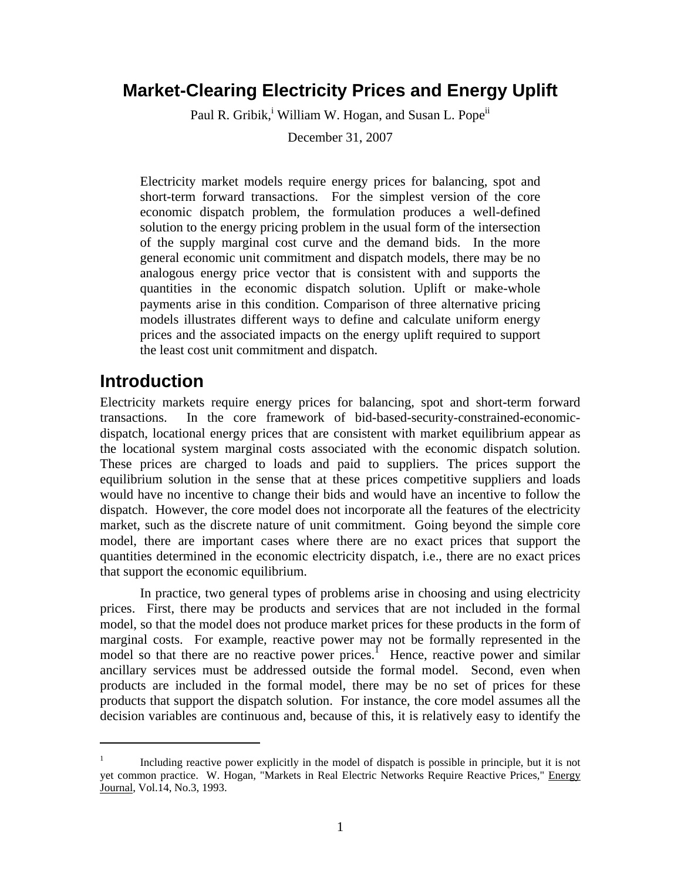# **Market-Clearing Electricity Prices and Energy Uplift**

Paul R. Gribik,<sup>i</sup> William W. Hogan, and Susan L. Pope<sup>ii</sup>

December 31, 2007

Electricity market models require energy prices for balancing, spot and short-term forward transactions. For the simplest version of the core economic dispatch problem, the formulation produces a well-defined solution to the energy pricing problem in the usual form of the intersection of the supply marginal cost curve and the demand bids. In the more general economic unit commitment and dispatch models, there may be no analogous energy price vector that is consistent with and supports the quantities in the economic dispatch solution. Uplift or make-whole payments arise in this condition. Comparison of three alternative pricing models illustrates different ways to define and calculate uniform energy prices and the associated impacts on the energy uplift required to support the least cost unit commitment and dispatch.

# **Introduction**

 $\overline{a}$ 

Electricity markets require energy prices for balancing, spot and short-term forward transactions. In the core framework of bid-based-security-constrained-economicdispatch, locational energy prices that are consistent with market equilibrium appear as the locational system marginal costs associated with the economic dispatch solution. These prices are charged to loads and paid to suppliers. The prices support the equilibrium solution in the sense that at these prices competitive suppliers and loads would have no incentive to change their bids and would have an incentive to follow the dispatch. However, the core model does not incorporate all the features of the electricity market, such as the discrete nature of unit commitment. Going beyond the simple core model, there are important cases where there are no exact prices that support the quantities determined in the economic electricity dispatch, i.e., there are no exact prices that support the economic equilibrium.

 In practice, two general types of problems arise in choosing and using electricity prices. First, there may be products and services that are not included in the formal model, so that the model does not produce market prices for these products in the form of marginal costs. For example, reactive power may not be formally represented in the model so that there are no reactive power prices.<sup>1</sup> Hence, reactive power and similar ancillary services must be addressed outside the formal model. Second, even when products are included in the formal model, there may be no set of prices for these products that support the dispatch solution. For instance, the core model assumes all the decision variables are continuous and, because of this, it is relatively easy to identify the

<sup>1</sup> Including reactive power explicitly in the model of dispatch is possible in principle, but it is not yet common practice. W. Hogan, "Markets in Real Electric Networks Require Reactive Prices," Energy Journal, Vol.14, No.3, 1993.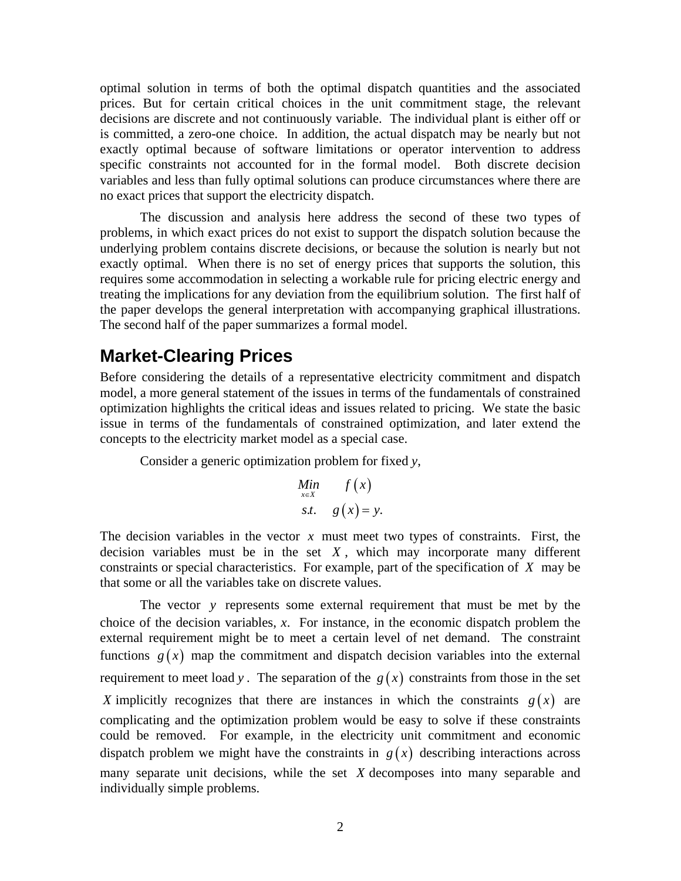optimal solution in terms of both the optimal dispatch quantities and the associated prices. But for certain critical choices in the unit commitment stage, the relevant decisions are discrete and not continuously variable. The individual plant is either off or is committed, a zero-one choice. In addition, the actual dispatch may be nearly but not exactly optimal because of software limitations or operator intervention to address specific constraints not accounted for in the formal model. Both discrete decision variables and less than fully optimal solutions can produce circumstances where there are no exact prices that support the electricity dispatch.

 The discussion and analysis here address the second of these two types of problems, in which exact prices do not exist to support the dispatch solution because the underlying problem contains discrete decisions, or because the solution is nearly but not exactly optimal. When there is no set of energy prices that supports the solution, this requires some accommodation in selecting a workable rule for pricing electric energy and treating the implications for any deviation from the equilibrium solution. The first half of the paper develops the general interpretation with accompanying graphical illustrations. The second half of the paper summarizes a formal model.

## **Market-Clearing Prices**

Before considering the details of a representative electricity commitment and dispatch model, a more general statement of the issues in terms of the fundamentals of constrained optimization highlights the critical ideas and issues related to pricing. We state the basic issue in terms of the fundamentals of constrained optimization, and later extend the concepts to the electricity market model as a special case.

Consider a generic optimization problem for fixed *y*,

$$
\begin{array}{ll}\nMin & f(x) \\
\text{s.t.} & g(x) = y.\n\end{array}
$$

The decision variables in the vector *x* must meet two types of constraints. First, the decision variables must be in the set  $X$ , which may incorporate many different constraints or special characteristics. For example, part of the specification of *X* may be that some or all the variables take on discrete values.

The vector *y* represents some external requirement that must be met by the choice of the decision variables, *x*. For instance, in the economic dispatch problem the external requirement might be to meet a certain level of net demand. The constraint functions  $g(x)$  map the commitment and dispatch decision variables into the external requirement to meet load *y*. The separation of the  $g(x)$  constraints from those in the set *X* implicitly recognizes that there are instances in which the constraints  $g(x)$  are complicating and the optimization problem would be easy to solve if these constraints could be removed. For example, in the electricity unit commitment and economic dispatch problem we might have the constraints in  $g(x)$  describing interactions across many separate unit decisions, while the set *X* decomposes into many separable and individually simple problems.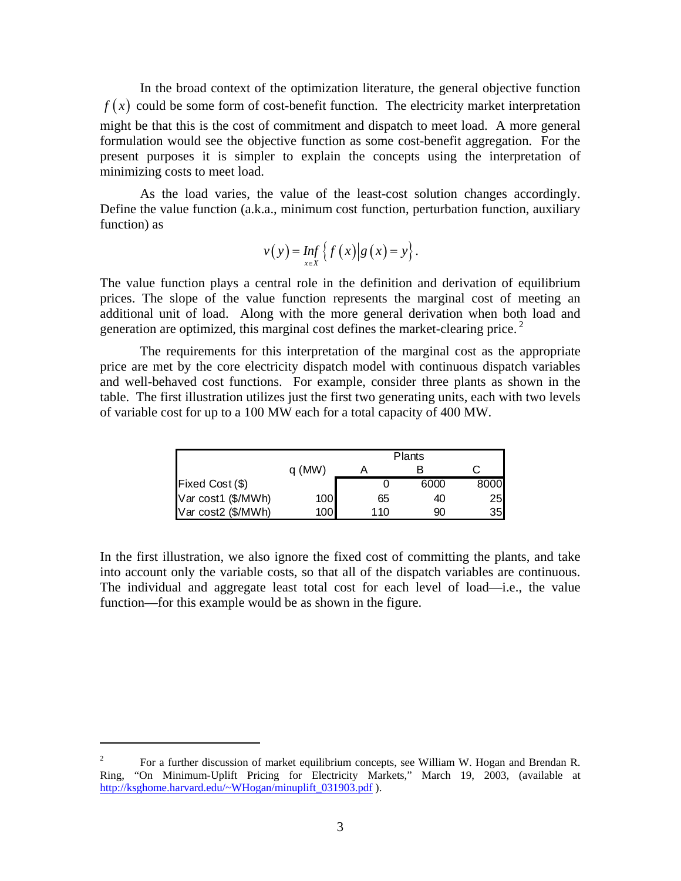In the broad context of the optimization literature, the general objective function  $f(x)$  could be some form of cost-benefit function. The electricity market interpretation might be that this is the cost of commitment and dispatch to meet load. A more general formulation would see the objective function as some cost-benefit aggregation. For the present purposes it is simpler to explain the concepts using the interpretation of minimizing costs to meet load.

As the load varies, the value of the least-cost solution changes accordingly. Define the value function (a.k.a., minimum cost function, perturbation function, auxiliary function) as

$$
v(y) = \inf_{x \in X} \left\{ f(x) \middle| g(x) = y \right\}.
$$

The value function plays a central role in the definition and derivation of equilibrium prices. The slope of the value function represents the marginal cost of meeting an additional unit of load. Along with the more general derivation when both load and generation are optimized, this marginal cost defines the market-clearing price.<sup>2</sup>

 The requirements for this interpretation of the marginal cost as the appropriate price are met by the core electricity dispatch model with continuous dispatch variables and well-behaved cost functions. For example, consider three plants as shown in the table. The first illustration utilizes just the first two generating units, each with two levels of variable cost for up to a 100 MW each for a total capacity of 400 MW.

|                    |       | <b>Plants</b> |      |      |
|--------------------|-------|---------------|------|------|
|                    | q(MW) |               |      |      |
| Fixed Cost (\$)    |       |               | 6000 | 8000 |
| Var cost1 (\$/MWh) | 100   | 65            | 40   | 25   |
| Var cost2 (\$/MWh) | 100   | 110           | 90   | 35   |

In the first illustration, we also ignore the fixed cost of committing the plants, and take into account only the variable costs, so that all of the dispatch variables are continuous. The individual and aggregate least total cost for each level of load—i.e., the value function—for this example would be as shown in the figure.

 $\overline{a}$ 

<sup>2</sup> For a further discussion of market equilibrium concepts, see William W. Hogan and Brendan R. Ring, "On Minimum-Uplift Pricing for Electricity Markets," March 19, 2003, (available at http://ksghome.harvard.edu/~WHogan/minuplift\_031903.pdf ).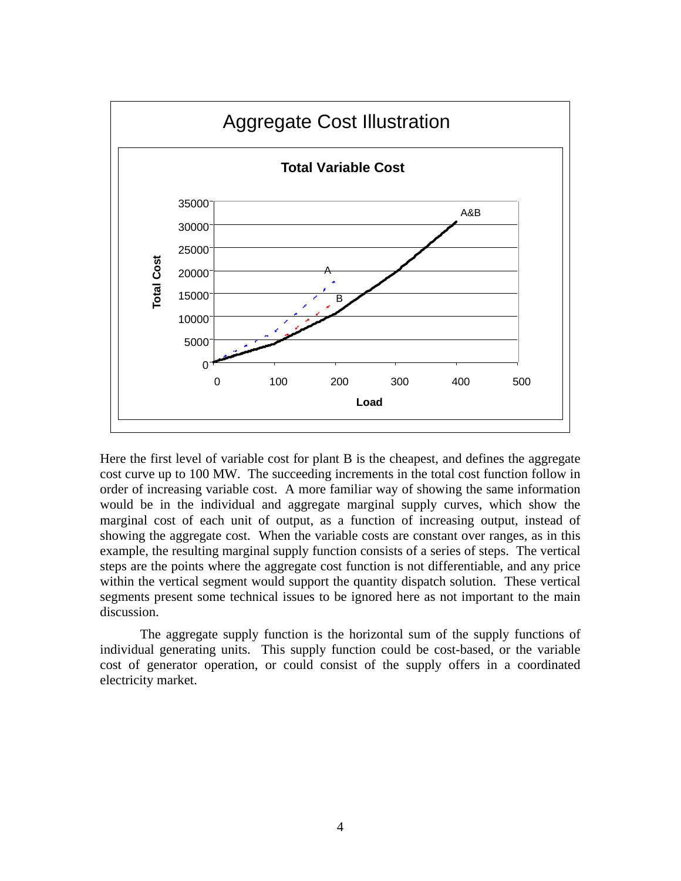

Here the first level of variable cost for plant B is the cheapest, and defines the aggregate cost curve up to 100 MW. The succeeding increments in the total cost function follow in order of increasing variable cost. A more familiar way of showing the same information would be in the individual and aggregate marginal supply curves, which show the marginal cost of each unit of output, as a function of increasing output, instead of showing the aggregate cost. When the variable costs are constant over ranges, as in this example, the resulting marginal supply function consists of a series of steps. The vertical steps are the points where the aggregate cost function is not differentiable, and any price within the vertical segment would support the quantity dispatch solution. These vertical segments present some technical issues to be ignored here as not important to the main discussion.

The aggregate supply function is the horizontal sum of the supply functions of individual generating units. This supply function could be cost-based, or the variable cost of generator operation, or could consist of the supply offers in a coordinated electricity market.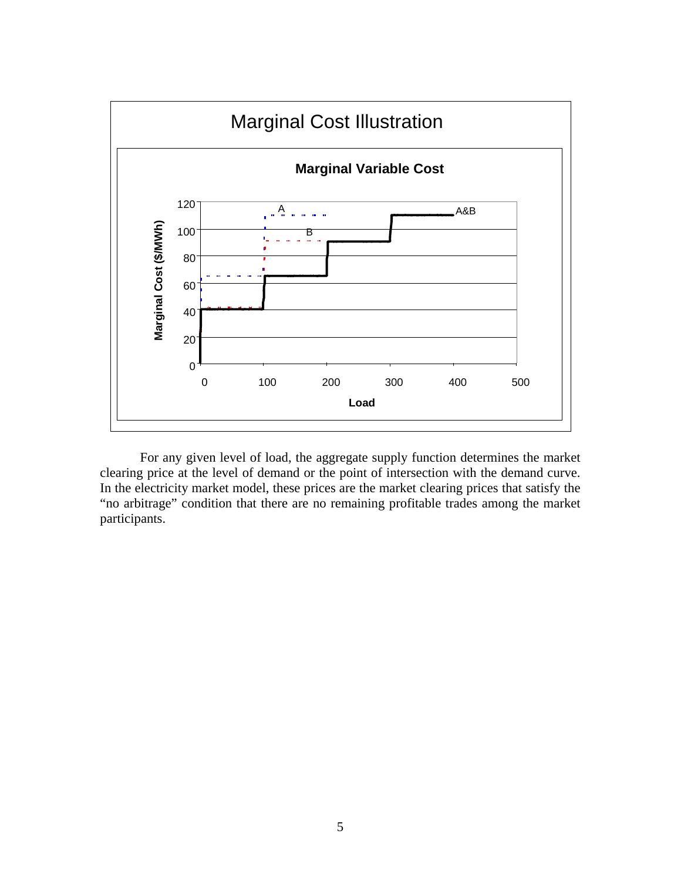

For any given level of load, the aggregate supply function determines the market clearing price at the level of demand or the point of intersection with the demand curve. In the electricity market model, these prices are the market clearing prices that satisfy the "no arbitrage" condition that there are no remaining profitable trades among the market participants.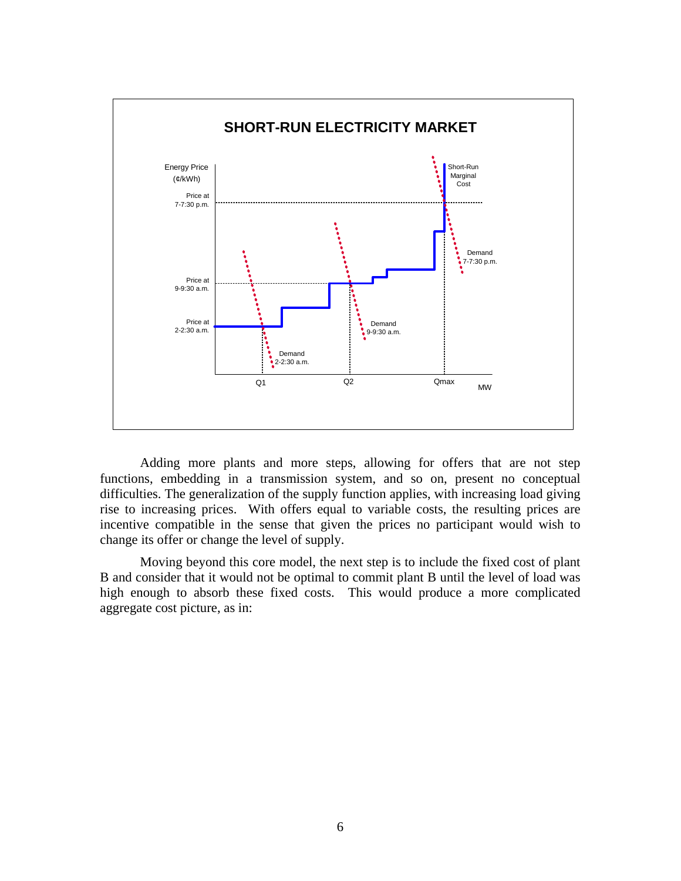

Adding more plants and more steps, allowing for offers that are not step functions, embedding in a transmission system, and so on, present no conceptual difficulties. The generalization of the supply function applies, with increasing load giving rise to increasing prices. With offers equal to variable costs, the resulting prices are incentive compatible in the sense that given the prices no participant would wish to change its offer or change the level of supply.

 Moving beyond this core model, the next step is to include the fixed cost of plant B and consider that it would not be optimal to commit plant B until the level of load was high enough to absorb these fixed costs. This would produce a more complicated aggregate cost picture, as in: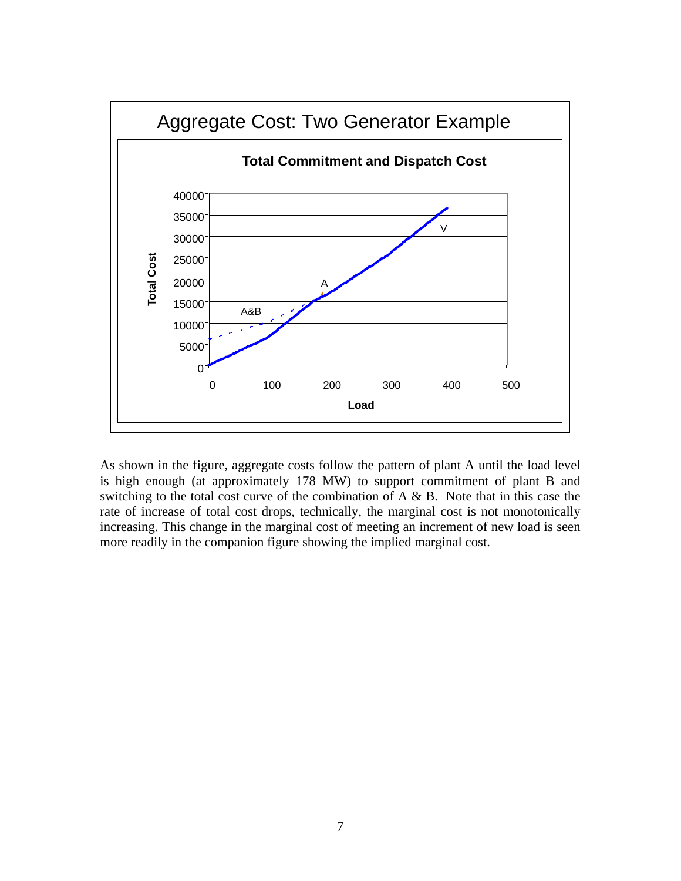

As shown in the figure, aggregate costs follow the pattern of plant A until the load level is high enough (at approximately 178 MW) to support commitment of plant B and switching to the total cost curve of the combination of  $A \& B$ . Note that in this case the rate of increase of total cost drops, technically, the marginal cost is not monotonically increasing. This change in the marginal cost of meeting an increment of new load is seen more readily in the companion figure showing the implied marginal cost.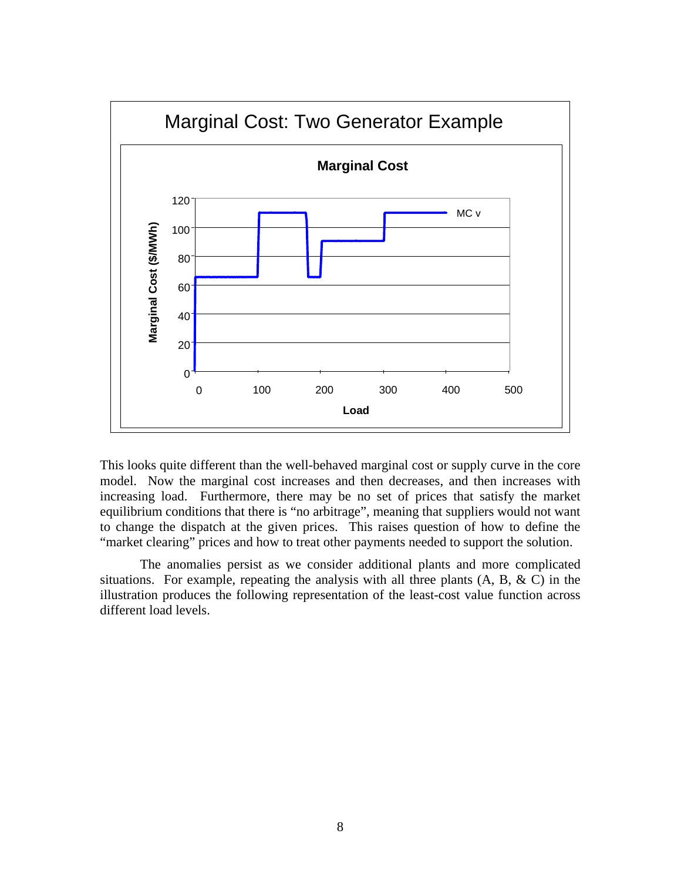

This looks quite different than the well-behaved marginal cost or supply curve in the core model. Now the marginal cost increases and then decreases, and then increases with increasing load. Furthermore, there may be no set of prices that satisfy the market equilibrium conditions that there is "no arbitrage", meaning that suppliers would not want to change the dispatch at the given prices. This raises question of how to define the "market clearing" prices and how to treat other payments needed to support the solution.

 The anomalies persist as we consider additional plants and more complicated situations. For example, repeating the analysis with all three plants  $(A, B, \& C)$  in the illustration produces the following representation of the least-cost value function across different load levels.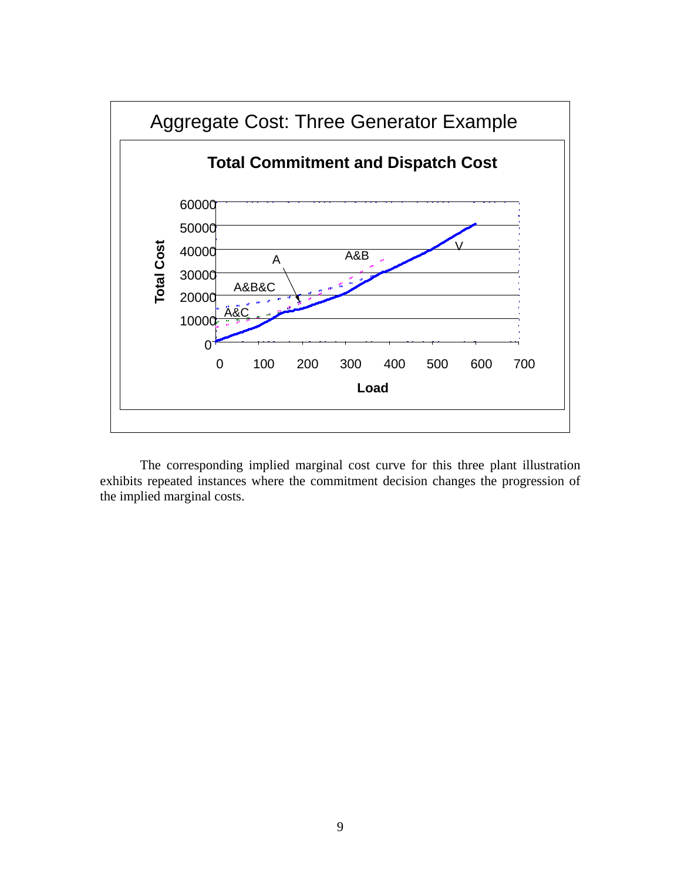

 The corresponding implied marginal cost curve for this three plant illustration exhibits repeated instances where the commitment decision changes the progression of the implied marginal costs.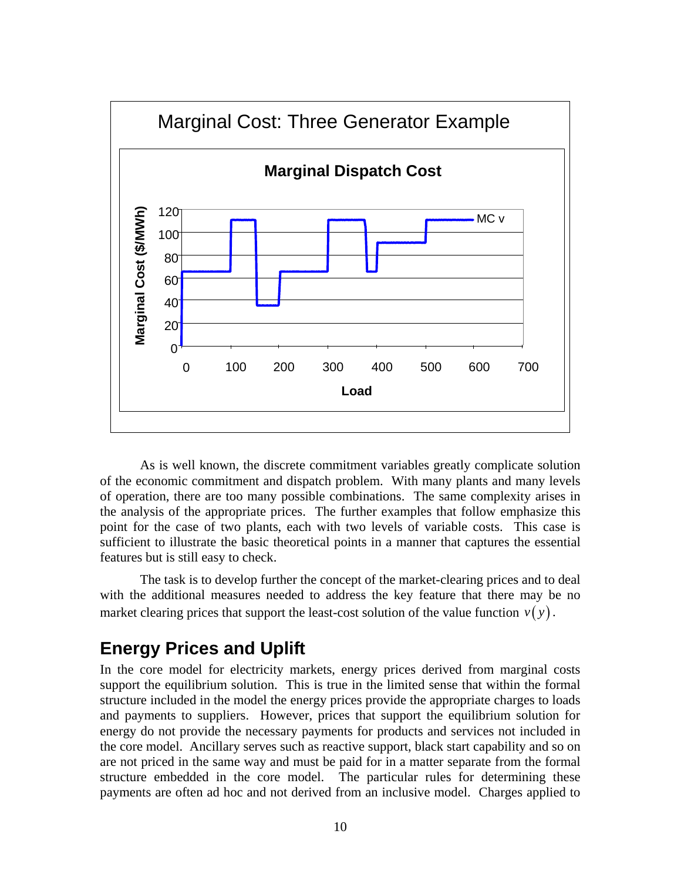

 As is well known, the discrete commitment variables greatly complicate solution of the economic commitment and dispatch problem. With many plants and many levels of operation, there are too many possible combinations. The same complexity arises in the analysis of the appropriate prices. The further examples that follow emphasize this point for the case of two plants, each with two levels of variable costs. This case is sufficient to illustrate the basic theoretical points in a manner that captures the essential features but is still easy to check.

 The task is to develop further the concept of the market-clearing prices and to deal with the additional measures needed to address the key feature that there may be no market clearing prices that support the least-cost solution of the value function  $v(y)$ .

# **Energy Prices and Uplift**

In the core model for electricity markets, energy prices derived from marginal costs support the equilibrium solution. This is true in the limited sense that within the formal structure included in the model the energy prices provide the appropriate charges to loads and payments to suppliers. However, prices that support the equilibrium solution for energy do not provide the necessary payments for products and services not included in the core model. Ancillary serves such as reactive support, black start capability and so on are not priced in the same way and must be paid for in a matter separate from the formal structure embedded in the core model. The particular rules for determining these payments are often ad hoc and not derived from an inclusive model. Charges applied to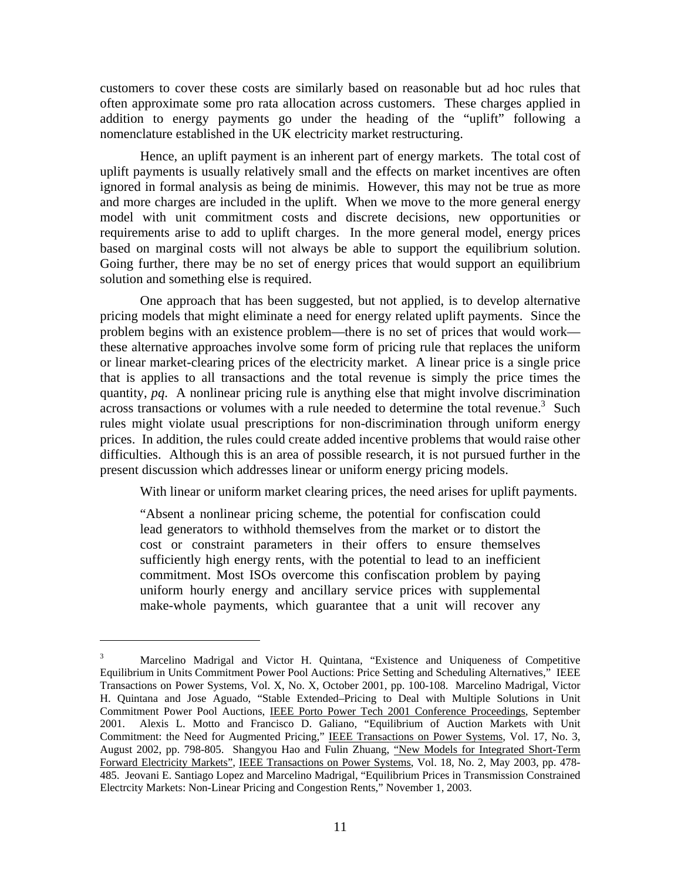customers to cover these costs are similarly based on reasonable but ad hoc rules that often approximate some pro rata allocation across customers. These charges applied in addition to energy payments go under the heading of the "uplift" following a nomenclature established in the UK electricity market restructuring.

 Hence, an uplift payment is an inherent part of energy markets. The total cost of uplift payments is usually relatively small and the effects on market incentives are often ignored in formal analysis as being de minimis. However, this may not be true as more and more charges are included in the uplift. When we move to the more general energy model with unit commitment costs and discrete decisions, new opportunities or requirements arise to add to uplift charges. In the more general model, energy prices based on marginal costs will not always be able to support the equilibrium solution. Going further, there may be no set of energy prices that would support an equilibrium solution and something else is required.

 One approach that has been suggested, but not applied, is to develop alternative pricing models that might eliminate a need for energy related uplift payments. Since the problem begins with an existence problem—there is no set of prices that would work these alternative approaches involve some form of pricing rule that replaces the uniform or linear market-clearing prices of the electricity market. A linear price is a single price that is applies to all transactions and the total revenue is simply the price times the quantity, *pq*. A nonlinear pricing rule is anything else that might involve discrimination  $\frac{1}{2}$  across transactions or volumes with a rule needed to determine the total revenue.<sup>3</sup> Such rules might violate usual prescriptions for non-discrimination through uniform energy prices. In addition, the rules could create added incentive problems that would raise other difficulties. Although this is an area of possible research, it is not pursued further in the present discussion which addresses linear or uniform energy pricing models.

With linear or uniform market clearing prices, the need arises for uplift payments.

"Absent a nonlinear pricing scheme, the potential for confiscation could lead generators to withhold themselves from the market or to distort the cost or constraint parameters in their offers to ensure themselves sufficiently high energy rents, with the potential to lead to an inefficient commitment. Most ISOs overcome this confiscation problem by paying uniform hourly energy and ancillary service prices with supplemental make-whole payments, which guarantee that a unit will recover any

 $\overline{a}$ 

<sup>3</sup> Marcelino Madrigal and Victor H. Quintana, "Existence and Uniqueness of Competitive Equilibrium in Units Commitment Power Pool Auctions: Price Setting and Scheduling Alternatives," IEEE Transactions on Power Systems, Vol. X, No. X, October 2001, pp. 100-108. Marcelino Madrigal, Victor H. Quintana and Jose Aguado, "Stable Extended–Pricing to Deal with Multiple Solutions in Unit Commitment Power Pool Auctions, IEEE Porto Power Tech 2001 Conference Proceedings, September 2001. Alexis L. Motto and Francisco D. Galiano, "Equilibrium of Auction Markets with Unit Commitment: the Need for Augmented Pricing," IEEE Transactions on Power Systems, Vol. 17, No. 3, August 2002, pp. 798-805. Shangyou Hao and Fulin Zhuang, "New Models for Integrated Short-Term Forward Electricity Markets", IEEE Transactions on Power Systems, Vol. 18, No. 2, May 2003, pp. 478- 485. Jeovani E. Santiago Lopez and Marcelino Madrigal, "Equilibrium Prices in Transmission Constrained Electrcity Markets: Non-Linear Pricing and Congestion Rents," November 1, 2003.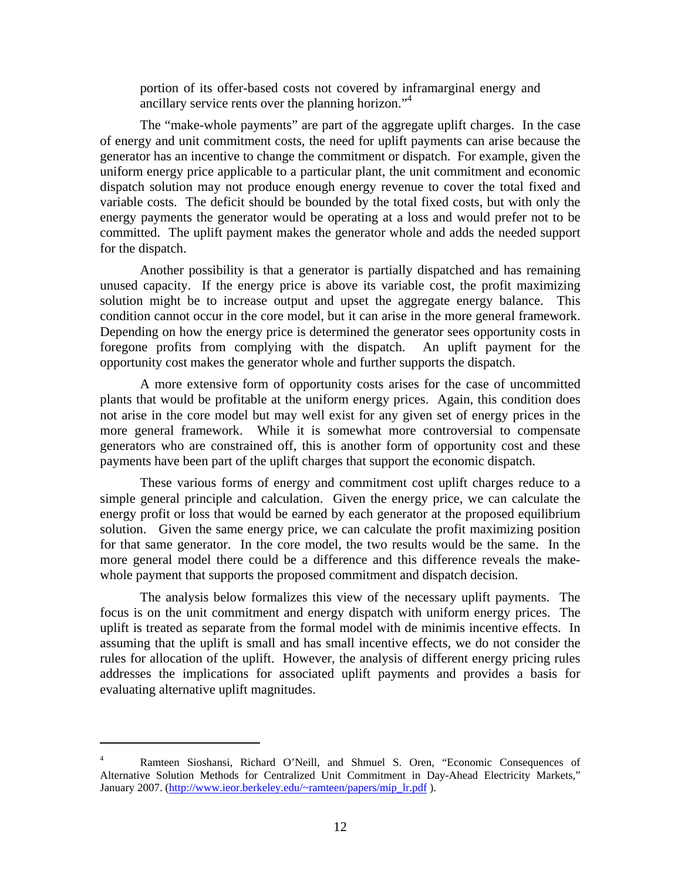portion of its offer-based costs not covered by inframarginal energy and ancillary service rents over the planning horizon."<sup>4</sup>

The "make-whole payments" are part of the aggregate uplift charges. In the case of energy and unit commitment costs, the need for uplift payments can arise because the generator has an incentive to change the commitment or dispatch. For example, given the uniform energy price applicable to a particular plant, the unit commitment and economic dispatch solution may not produce enough energy revenue to cover the total fixed and variable costs. The deficit should be bounded by the total fixed costs, but with only the energy payments the generator would be operating at a loss and would prefer not to be committed. The uplift payment makes the generator whole and adds the needed support for the dispatch.

 Another possibility is that a generator is partially dispatched and has remaining unused capacity. If the energy price is above its variable cost, the profit maximizing solution might be to increase output and upset the aggregate energy balance. This condition cannot occur in the core model, but it can arise in the more general framework. Depending on how the energy price is determined the generator sees opportunity costs in foregone profits from complying with the dispatch. An uplift payment for the opportunity cost makes the generator whole and further supports the dispatch.

A more extensive form of opportunity costs arises for the case of uncommitted plants that would be profitable at the uniform energy prices. Again, this condition does not arise in the core model but may well exist for any given set of energy prices in the more general framework. While it is somewhat more controversial to compensate generators who are constrained off, this is another form of opportunity cost and these payments have been part of the uplift charges that support the economic dispatch.

These various forms of energy and commitment cost uplift charges reduce to a simple general principle and calculation. Given the energy price, we can calculate the energy profit or loss that would be earned by each generator at the proposed equilibrium solution. Given the same energy price, we can calculate the profit maximizing position for that same generator. In the core model, the two results would be the same. In the more general model there could be a difference and this difference reveals the makewhole payment that supports the proposed commitment and dispatch decision.

The analysis below formalizes this view of the necessary uplift payments. The focus is on the unit commitment and energy dispatch with uniform energy prices. The uplift is treated as separate from the formal model with de minimis incentive effects. In assuming that the uplift is small and has small incentive effects, we do not consider the rules for allocation of the uplift. However, the analysis of different energy pricing rules addresses the implications for associated uplift payments and provides a basis for evaluating alternative uplift magnitudes.

1

<sup>4</sup> Ramteen Sioshansi, Richard O'Neill, and Shmuel S. Oren, "Economic Consequences of Alternative Solution Methods for Centralized Unit Commitment in Day-Ahead Electricity Markets," January 2007. (http://www.ieor.berkeley.edu/~ramteen/papers/mip\_lr.pdf ).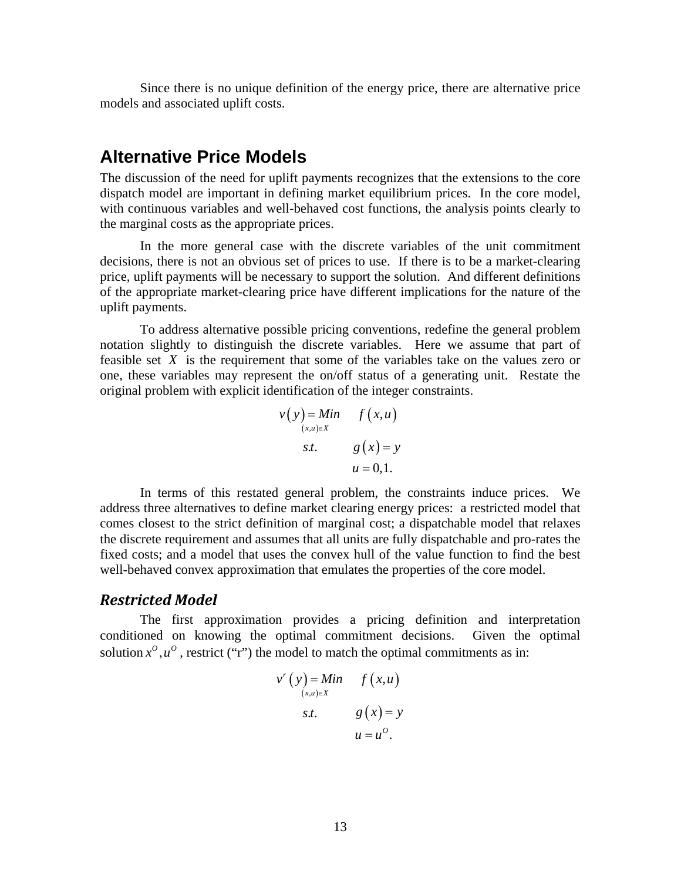Since there is no unique definition of the energy price, there are alternative price models and associated uplift costs.

## **Alternative Price Models**

The discussion of the need for uplift payments recognizes that the extensions to the core dispatch model are important in defining market equilibrium prices. In the core model, with continuous variables and well-behaved cost functions, the analysis points clearly to the marginal costs as the appropriate prices.

In the more general case with the discrete variables of the unit commitment decisions, there is not an obvious set of prices to use. If there is to be a market-clearing price, uplift payments will be necessary to support the solution. And different definitions of the appropriate market-clearing price have different implications for the nature of the uplift payments.

To address alternative possible pricing conventions, redefine the general problem notation slightly to distinguish the discrete variables. Here we assume that part of feasible set *X* is the requirement that some of the variables take on the values zero or one, these variables may represent the on/off status of a generating unit. Restate the original problem with explicit identification of the integer constraints.

$$
v(y) = Min \t f(x,u)
$$
  
\n
$$
s.t. \t g(x) = y
$$
  
\n
$$
u = 0,1.
$$

In terms of this restated general problem, the constraints induce prices. We address three alternatives to define market clearing energy prices: a restricted model that comes closest to the strict definition of marginal cost; a dispatchable model that relaxes the discrete requirement and assumes that all units are fully dispatchable and pro-rates the fixed costs; and a model that uses the convex hull of the value function to find the best well-behaved convex approximation that emulates the properties of the core model.

#### *Restricted Model*

The first approximation provides a pricing definition and interpretation conditioned on knowing the optimal commitment decisions. Given the optimal solution  $x^0, u^0$ , restrict ("r") the model to match the optimal commitments as in:

$$
v^{r}(y) = Min \t f(x, u)
$$
  
\n
$$
s.t. \t g(x) = y
$$
  
\n
$$
u = u^{o}.
$$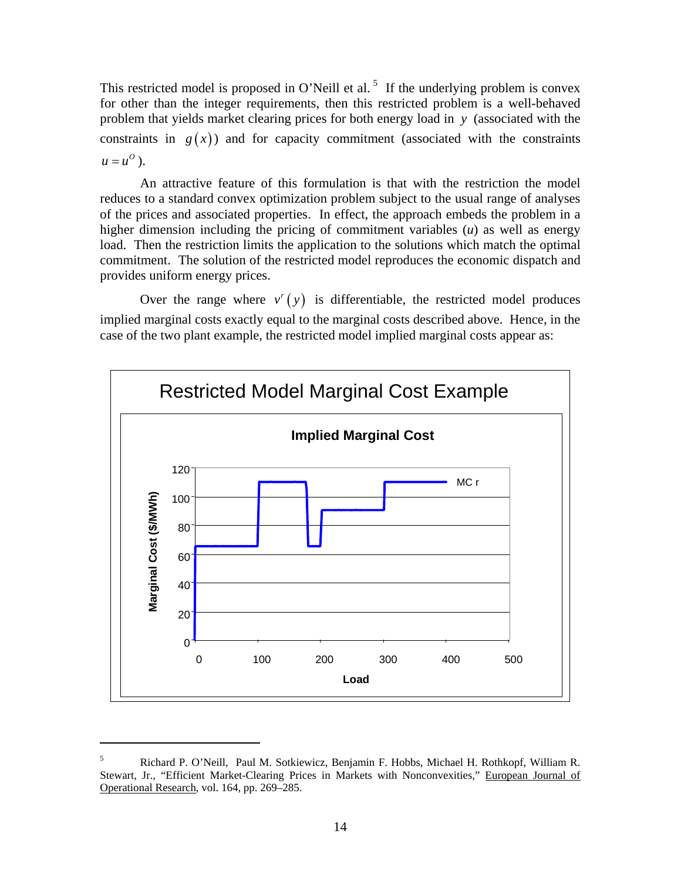This restricted model is proposed in O'Neill et al.<sup>5</sup> If the underlying problem is convex for other than the integer requirements, then this restricted problem is a well-behaved problem that yields market clearing prices for both energy load in *y* (associated with the constraints in  $g(x)$ ) and for capacity commitment (associated with the constraints  $u = u^{\circ}$ .

 An attractive feature of this formulation is that with the restriction the model reduces to a standard convex optimization problem subject to the usual range of analyses of the prices and associated properties. In effect, the approach embeds the problem in a higher dimension including the pricing of commitment variables (*u*) as well as energy load. Then the restriction limits the application to the solutions which match the optimal commitment. The solution of the restricted model reproduces the economic dispatch and provides uniform energy prices.

Over the range where  $v'(y)$  is differentiable, the restricted model produces implied marginal costs exactly equal to the marginal costs described above. Hence, in the case of the two plant example, the restricted model implied marginal costs appear as:



<sup>5</sup> Richard P. O'Neill, Paul M. Sotkiewicz, Benjamin F. Hobbs, Michael H. Rothkopf, William R. Stewart, Jr., "Efficient Market-Clearing Prices in Markets with Nonconvexities," European Journal of Operational Research, vol. 164, pp. 269–285.

 $\overline{a}$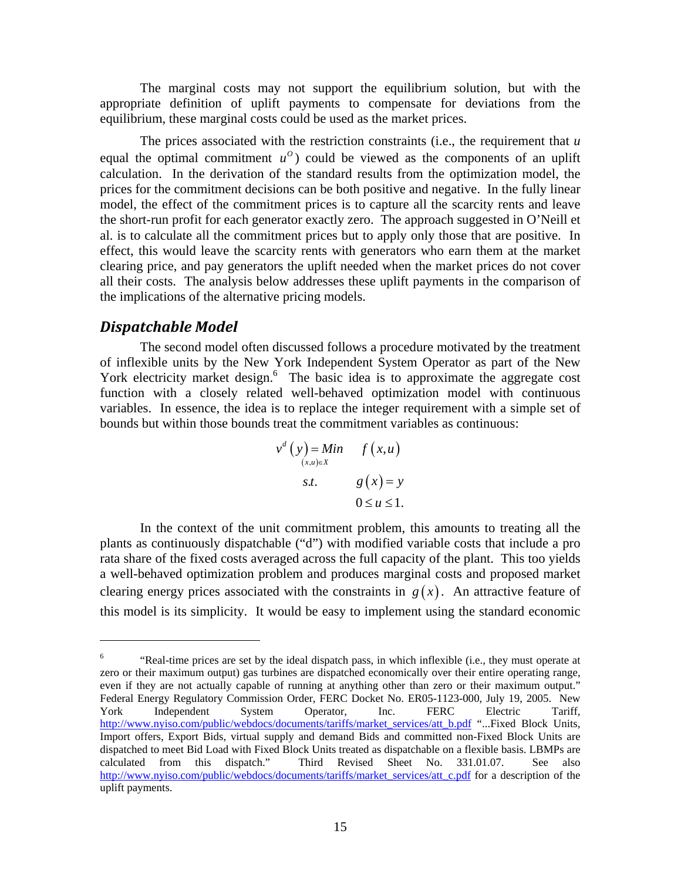The marginal costs may not support the equilibrium solution, but with the appropriate definition of uplift payments to compensate for deviations from the equilibrium, these marginal costs could be used as the market prices.

 The prices associated with the restriction constraints (i.e., the requirement that *u* equal the optimal commitment  $u^0$  could be viewed as the components of an uplift calculation. In the derivation of the standard results from the optimization model, the prices for the commitment decisions can be both positive and negative. In the fully linear model, the effect of the commitment prices is to capture all the scarcity rents and leave the short-run profit for each generator exactly zero. The approach suggested in O'Neill et al. is to calculate all the commitment prices but to apply only those that are positive. In effect, this would leave the scarcity rents with generators who earn them at the market clearing price, and pay generators the uplift needed when the market prices do not cover all their costs. The analysis below addresses these uplift payments in the comparison of the implications of the alternative pricing models.

#### *Dispatchable Model*

 $\overline{a}$ 

The second model often discussed follows a procedure motivated by the treatment of inflexible units by the New York Independent System Operator as part of the New York electricity market design.<sup>6</sup> The basic idea is to approximate the aggregate cost function with a closely related well-behaved optimization model with continuous variables. In essence, the idea is to replace the integer requirement with a simple set of bounds but within those bounds treat the commitment variables as continuous:

$$
v^{d}(y) = Min \t f(x,u)
$$
  
\n
$$
s.t. \t g(x) = y
$$
  
\n
$$
0 \le u \le 1.
$$

In the context of the unit commitment problem, this amounts to treating all the plants as continuously dispatchable ("d") with modified variable costs that include a pro rata share of the fixed costs averaged across the full capacity of the plant. This too yields a well-behaved optimization problem and produces marginal costs and proposed market clearing energy prices associated with the constraints in  $g(x)$ . An attractive feature of this model is its simplicity. It would be easy to implement using the standard economic

<sup>6</sup> "Real-time prices are set by the ideal dispatch pass, in which inflexible (i.e., they must operate at zero or their maximum output) gas turbines are dispatched economically over their entire operating range, even if they are not actually capable of running at anything other than zero or their maximum output." Federal Energy Regulatory Commission Order, FERC Docket No. ER05-1123-000, July 19, 2005. New York Independent System Operator, Inc. FERC Electric Tariff, http://www.nyiso.com/public/webdocs/documents/tariffs/market\_services/att\_b.pdf "...Fixed Block Units, Import offers, Export Bids, virtual supply and demand Bids and committed non-Fixed Block Units are dispatched to meet Bid Load with Fixed Block Units treated as dispatchable on a flexible basis. LBMPs are calculated from this dispatch." Third Revised Sheet No. 331.01.07. See also http://www.nyiso.com/public/webdocs/documents/tariffs/market\_services/att\_c.pdf for a description of the uplift payments.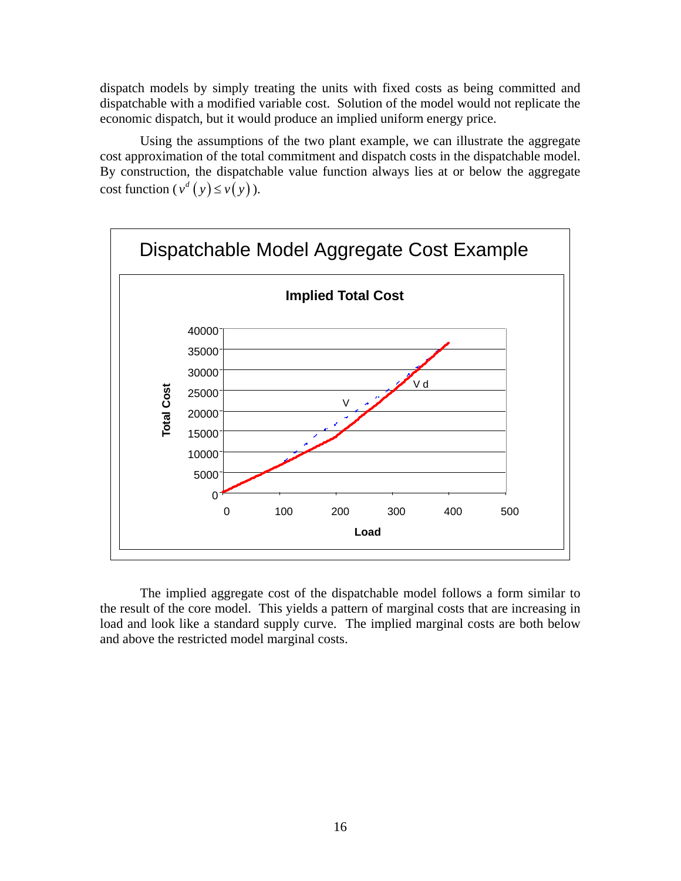dispatch models by simply treating the units with fixed costs as being committed and dispatchable with a modified variable cost. Solution of the model would not replicate the economic dispatch, but it would produce an implied uniform energy price.

Using the assumptions of the two plant example, we can illustrate the aggregate cost approximation of the total commitment and dispatch costs in the dispatchable model. By construction, the dispatchable value function always lies at or below the aggregate cost function  $(v^d(y) \le v(y))$ .



The implied aggregate cost of the dispatchable model follows a form similar to the result of the core model. This yields a pattern of marginal costs that are increasing in load and look like a standard supply curve. The implied marginal costs are both below and above the restricted model marginal costs.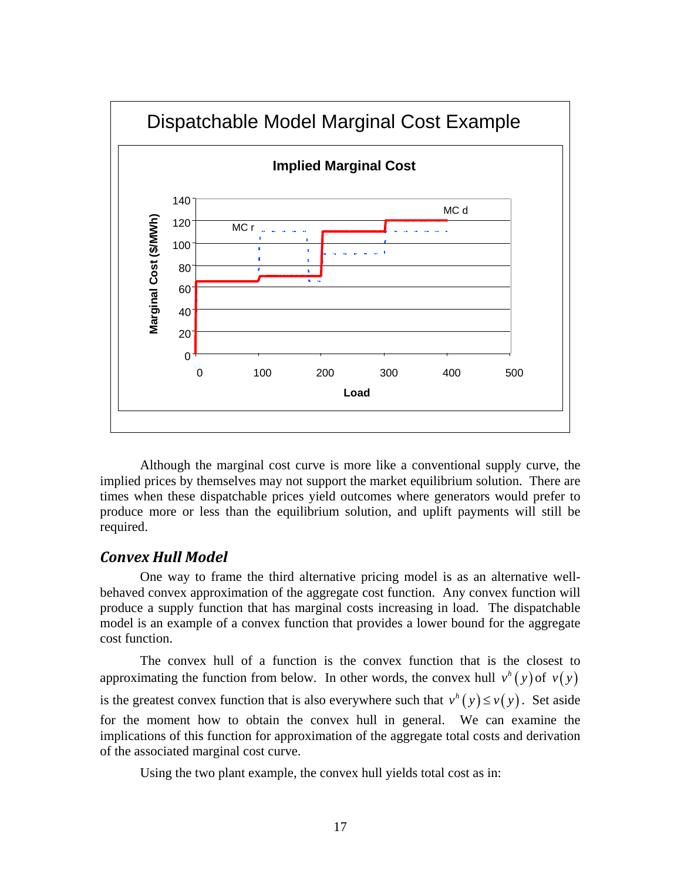

 Although the marginal cost curve is more like a conventional supply curve, the implied prices by themselves may not support the market equilibrium solution. There are times when these dispatchable prices yield outcomes where generators would prefer to produce more or less than the equilibrium solution, and uplift payments will still be required.

#### *Convex Hull Model*

One way to frame the third alternative pricing model is as an alternative wellbehaved convex approximation of the aggregate cost function. Any convex function will produce a supply function that has marginal costs increasing in load. The dispatchable model is an example of a convex function that provides a lower bound for the aggregate cost function.

The convex hull of a function is the convex function that is the closest to approximating the function from below. In other words, the convex hull  $v^h(y)$  of  $v(y)$ is the greatest convex function that is also everywhere such that  $v^h(y) \le v(y)$ . Set aside for the moment how to obtain the convex hull in general. We can examine the implications of this function for approximation of the aggregate total costs and derivation of the associated marginal cost curve.

Using the two plant example, the convex hull yields total cost as in: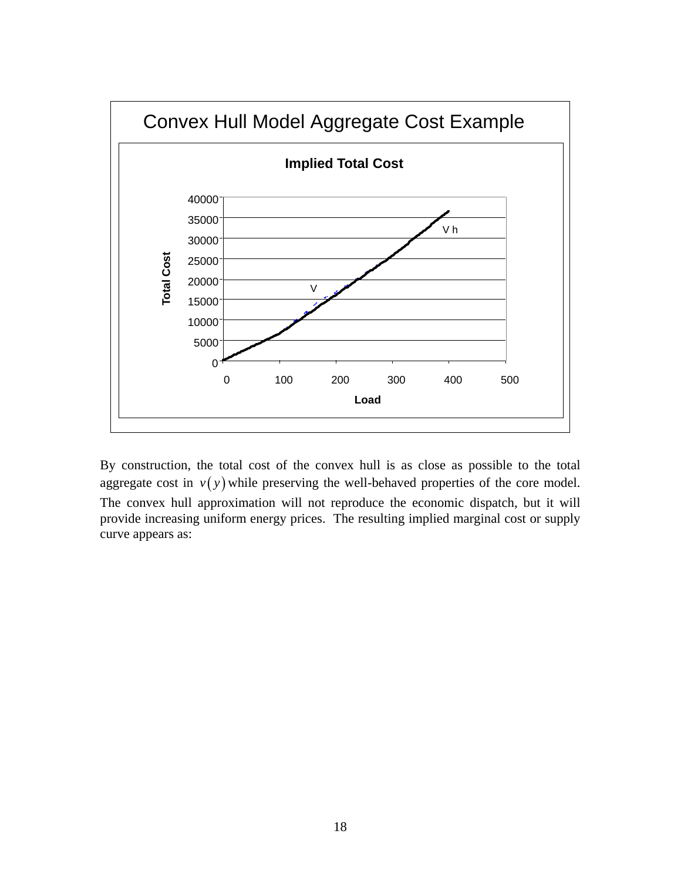

By construction, the total cost of the convex hull is as close as possible to the total aggregate cost in  $v(y)$  while preserving the well-behaved properties of the core model. The convex hull approximation will not reproduce the economic dispatch, but it will provide increasing uniform energy prices. The resulting implied marginal cost or supply curve appears as: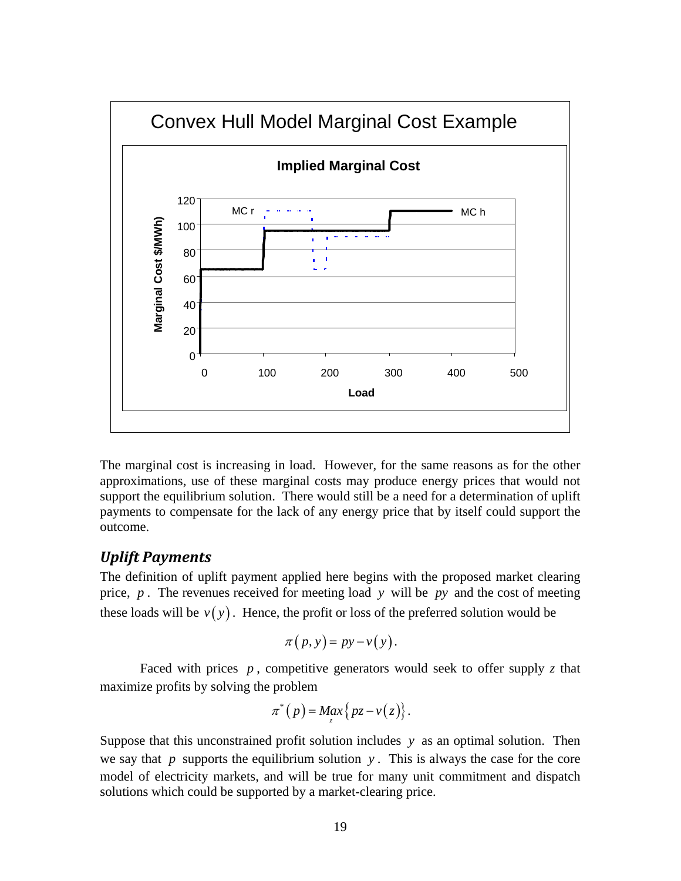

The marginal cost is increasing in load. However, for the same reasons as for the other approximations, use of these marginal costs may produce energy prices that would not support the equilibrium solution. There would still be a need for a determination of uplift payments to compensate for the lack of any energy price that by itself could support the outcome.

### *Uplift Payments*

The definition of uplift payment applied here begins with the proposed market clearing price, *p* . The revenues received for meeting load *y* will be *py* and the cost of meeting these loads will be  $v(y)$ . Hence, the profit or loss of the preferred solution would be

$$
\pi(p, y) = py - v(y).
$$

Faced with prices  $p$ , competitive generators would seek to offer supply  $z$  that maximize profits by solving the problem

$$
\pi^*(p) = Max_{z} \{ pz - v(z) \}.
$$

Suppose that this unconstrained profit solution includes *y* as an optimal solution. Then we say that  $p$  supports the equilibrium solution  $y$ . This is always the case for the core model of electricity markets, and will be true for many unit commitment and dispatch solutions which could be supported by a market-clearing price.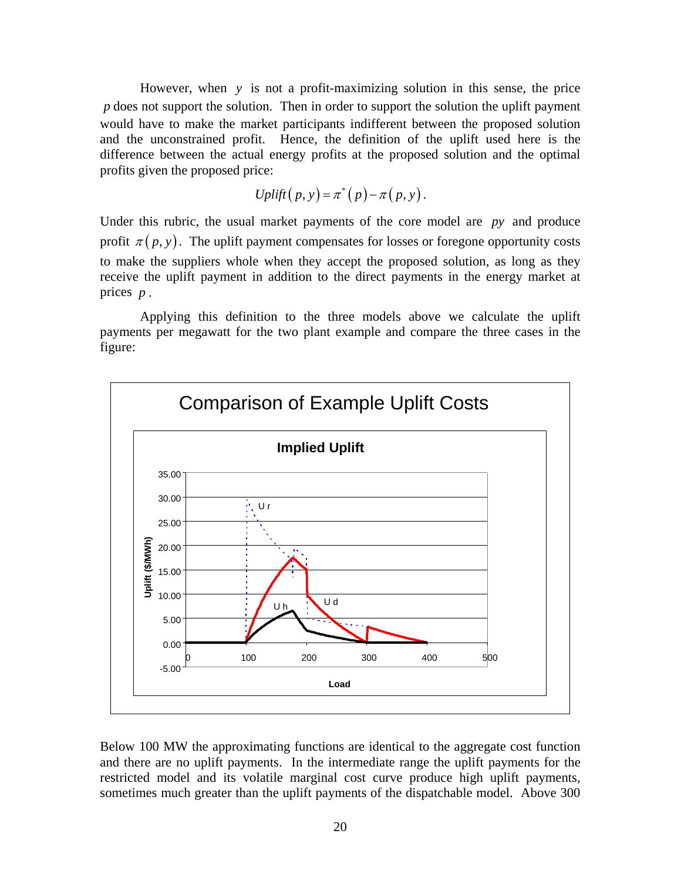However, when *y* is not a profit-maximizing solution in this sense, the price *p* does not support the solution. Then in order to support the solution the uplift payment would have to make the market participants indifferent between the proposed solution and the unconstrained profit. Hence, the definition of the uplift used here is the difference between the actual energy profits at the proposed solution and the optimal profits given the proposed price:

$$
Uplift(p, y) = \pi^*(p) - \pi(p, y).
$$

Under this rubric, the usual market payments of the core model are *py* and produce profit  $\pi(p, y)$ . The uplift payment compensates for losses or foregone opportunity costs to make the suppliers whole when they accept the proposed solution, as long as they receive the uplift payment in addition to the direct payments in the energy market at prices *p* .

 Applying this definition to the three models above we calculate the uplift payments per megawatt for the two plant example and compare the three cases in the figure:



Below 100 MW the approximating functions are identical to the aggregate cost function and there are no uplift payments. In the intermediate range the uplift payments for the restricted model and its volatile marginal cost curve produce high uplift payments, sometimes much greater than the uplift payments of the dispatchable model. Above 300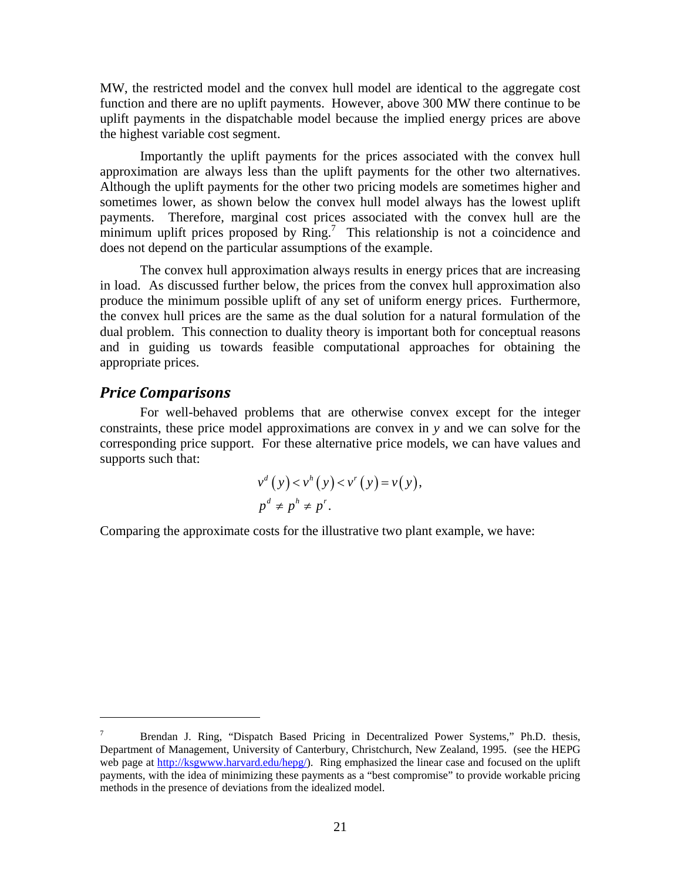MW, the restricted model and the convex hull model are identical to the aggregate cost function and there are no uplift payments. However, above 300 MW there continue to be uplift payments in the dispatchable model because the implied energy prices are above the highest variable cost segment.

 Importantly the uplift payments for the prices associated with the convex hull approximation are always less than the uplift payments for the other two alternatives. Although the uplift payments for the other two pricing models are sometimes higher and sometimes lower, as shown below the convex hull model always has the lowest uplift payments. Therefore, marginal cost prices associated with the convex hull are the minimum uplift prices proposed by  $\text{Ring}^7$ . This relationship is not a coincidence and does not depend on the particular assumptions of the example.

 The convex hull approximation always results in energy prices that are increasing in load. As discussed further below, the prices from the convex hull approximation also produce the minimum possible uplift of any set of uniform energy prices. Furthermore, the convex hull prices are the same as the dual solution for a natural formulation of the dual problem. This connection to duality theory is important both for conceptual reasons and in guiding us towards feasible computational approaches for obtaining the appropriate prices.

#### *Price Comparisons*

 $\overline{a}$ 

For well-behaved problems that are otherwise convex except for the integer constraints, these price model approximations are convex in *y* and we can solve for the corresponding price support. For these alternative price models, we can have values and supports such that:

$$
v^d(y) < v^h(y) < v^r(y) = v(y),
$$
  
\n
$$
p^d \neq p^h \neq p^r.
$$

Comparing the approximate costs for the illustrative two plant example, we have:

<sup>7</sup> Brendan J. Ring, "Dispatch Based Pricing in Decentralized Power Systems," Ph.D. thesis, Department of Management, University of Canterbury, Christchurch, New Zealand, 1995. (see the HEPG web page at http://ksgwww.harvard.edu/hepg/). Ring emphasized the linear case and focused on the uplift payments, with the idea of minimizing these payments as a "best compromise" to provide workable pricing methods in the presence of deviations from the idealized model.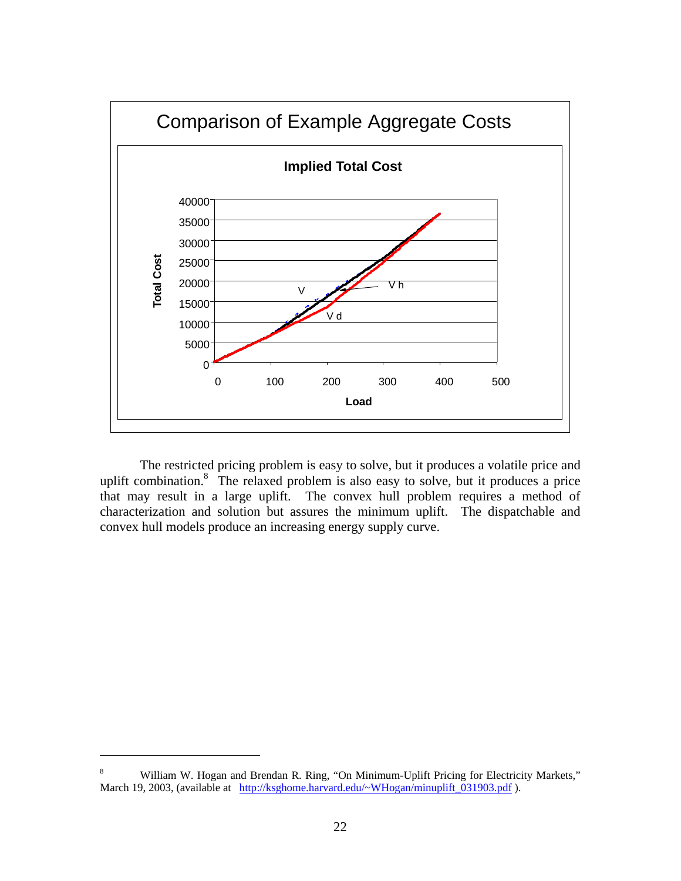

The restricted pricing problem is easy to solve, but it produces a volatile price and uplift combination. $8$  The relaxed problem is also easy to solve, but it produces a price that may result in a large uplift. The convex hull problem requires a method of characterization and solution but assures the minimum uplift. The dispatchable and convex hull models produce an increasing energy supply curve.

1

<sup>8</sup> William W. Hogan and Brendan R. Ring, "On Minimum-Uplift Pricing for Electricity Markets," March 19, 2003, (available at http://ksghome.harvard.edu/~WHogan/minuplift\_031903.pdf ).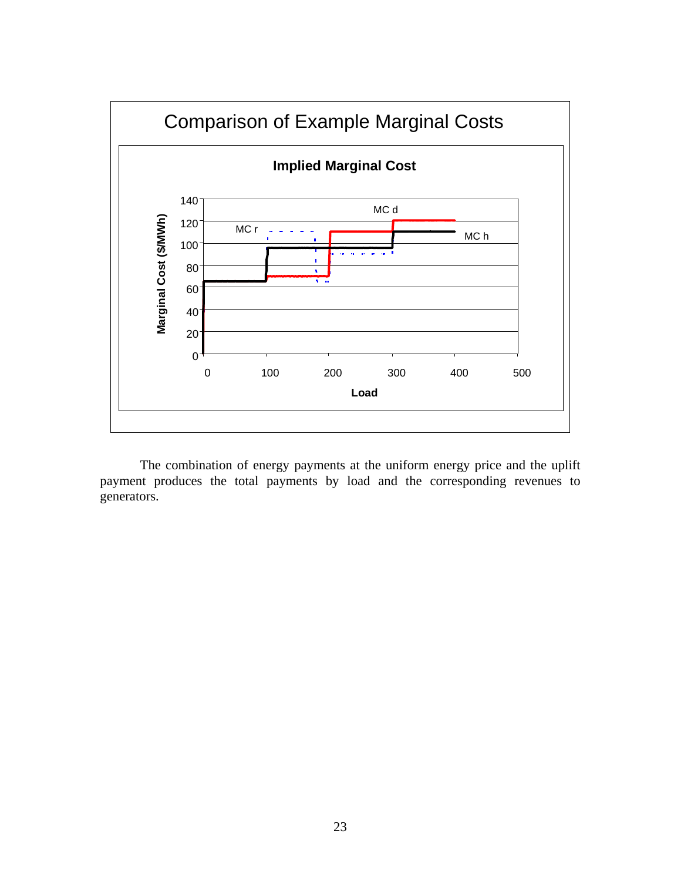

 The combination of energy payments at the uniform energy price and the uplift payment produces the total payments by load and the corresponding revenues to generators.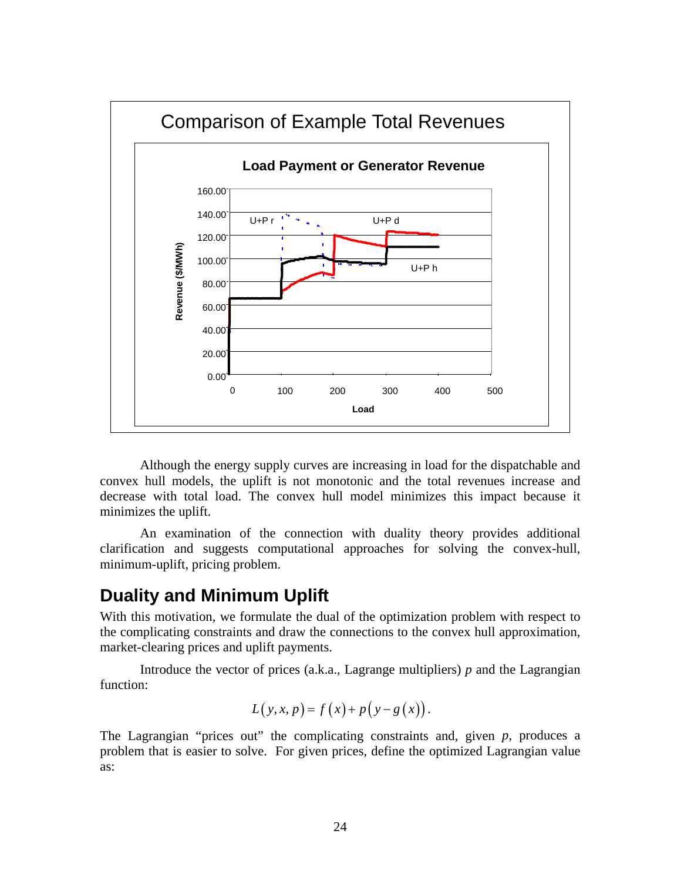

 Although the energy supply curves are increasing in load for the dispatchable and convex hull models, the uplift is not monotonic and the total revenues increase and decrease with total load. The convex hull model minimizes this impact because it minimizes the uplift.

An examination of the connection with duality theory provides additional clarification and suggests computational approaches for solving the convex-hull, minimum-uplift, pricing problem.

## **Duality and Minimum Uplift**

With this motivation, we formulate the dual of the optimization problem with respect to the complicating constraints and draw the connections to the convex hull approximation, market-clearing prices and uplift payments.

Introduce the vector of prices (a.k.a., Lagrange multipliers) *p* and the Lagrangian function:

$$
L(y, x, p) = f(x) + p(y - g(x)).
$$

The Lagrangian "prices out" the complicating constraints and, given *p*, produces a problem that is easier to solve. For given prices, define the optimized Lagrangian value as: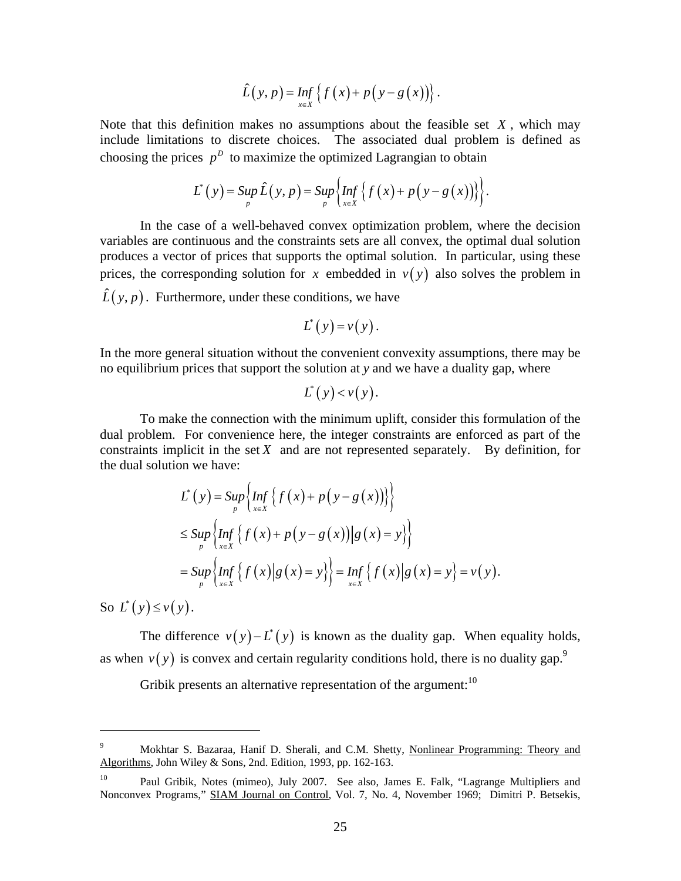$$
\hat{L}(y,p)=\inf_{x\in X}\left\{f(x)+p(y-g(x))\right\}.
$$

Note that this definition makes no assumptions about the feasible set *X* , which may include limitations to discrete choices. The associated dual problem is defined as choosing the prices  $p^D$  to maximize the optimized Lagrangian to obtain

$$
L^{*}(y) = \sup_{p} \hat{L}(y, p) = \sup_{p} \left\{ \inf_{x \in X} \left\{ f(x) + p(y - g(x)) \right\} \right\}.
$$

 In the case of a well-behaved convex optimization problem, where the decision variables are continuous and the constraints sets are all convex, the optimal dual solution produces a vector of prices that supports the optimal solution. In particular, using these prices, the corresponding solution for x embedded in  $v(y)$  also solves the problem in

 $\hat{L}(y, p)$ . Furthermore, under these conditions, we have

$$
L^*(y) = v(y).
$$

In the more general situation without the convenient convexity assumptions, there may be no equilibrium prices that support the solution at *y* and we have a duality gap, where

$$
L^*(y) < v(y).
$$

To make the connection with the minimum uplift, consider this formulation of the dual problem. For convenience here, the integer constraints are enforced as part of the constraints implicit in the set  $X$  and are not represented separately. By definition, for the dual solution we have:

$$
L^*(y) = \sup_{p} \left\{ \inf_{x \in X} \left\{ f(x) + p(y - g(x)) \right\} \right\}
$$
  
\n
$$
\leq \sup_{p} \left\{ \inf_{x \in X} \left\{ f(x) + p(y - g(x)) \middle| g(x) = y \right\} \right\}
$$
  
\n
$$
= \sup_{p} \left\{ \inf_{x \in X} \left\{ f(x) \middle| g(x) = y \right\} \right\} = \inf_{x \in X} \left\{ f(x) \middle| g(x) = y \right\} = v(y).
$$

So  $L^*(y) \le v(y)$ .

 $\overline{a}$ 

The difference  $v(y) - L^*(y)$  is known as the duality gap. When equality holds, as when  $v(y)$  is convex and certain regularity conditions hold, there is no duality gap.<sup>9</sup>

Gribik presents an alternative representation of the argument:  $10$ 

<sup>9</sup> Mokhtar S. Bazaraa, Hanif D. Sherali, and C.M. Shetty, Nonlinear Programming: Theory and Algorithms, John Wiley & Sons, 2nd. Edition, 1993, pp. 162-163.

<sup>&</sup>lt;sup>10</sup> Paul Gribik, Notes (mimeo), July 2007. See also, James E. Falk, "Lagrange Multipliers and Nonconvex Programs," SIAM Journal on Control, Vol. 7, No. 4, November 1969; Dimitri P. Betsekis,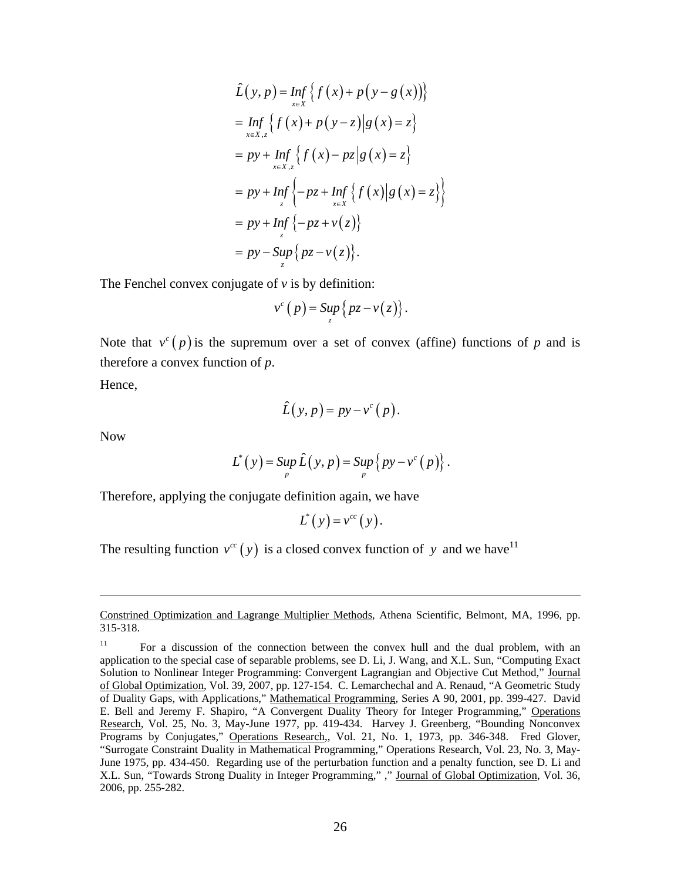$$
\hat{L}(y, p) = \inf_{x \in X} \{f(x) + p(y - g(x))\}
$$
\n
$$
= \inf_{x \in X, z} \{f(x) + p(y - z)|g(x) = z\}
$$
\n
$$
= py + \inf_{x \in X, z} \{f(x) - pz|g(x) = z\}
$$
\n
$$
= py + \inf_{z} \{-pz + \inf_{x \in X} \{f(x)|g(x) = z\}\}
$$
\n
$$
= py + \inf_{z} \{-pz + \nu(z)\}
$$
\n
$$
= py - \sup_{z} \{pz - \nu(z)\}.
$$

The Fenchel convex conjugate of  $\nu$  is by definition:

$$
v^{c}(p) = \sup_{z} \{ pz - v(z) \}.
$$

Note that  $v^c(p)$  is the supremum over a set of convex (affine) functions of *p* and is therefore a convex function of *p*.

Hence,

$$
\hat{L}(y,p) = py - v^{c}(p).
$$

Now

1

$$
L^*(y) = \sup_p \hat{L}(y,p) = \sup_p \left\{ py - v^c(p) \right\}.
$$

Therefore, applying the conjugate definition again, we have

$$
L^*(y) = v^{cc}(y).
$$

The resulting function  $v^{cc}(y)$  is a closed convex function of y and we have<sup>11</sup>

Constrined Optimization and Lagrange Multiplier Methods, Athena Scientific, Belmont, MA, 1996, pp. 315-318.

<sup>&</sup>lt;sup>11</sup> For a discussion of the connection between the convex hull and the dual problem, with an application to the special case of separable problems, see D. Li, J. Wang, and X.L. Sun, "Computing Exact Solution to Nonlinear Integer Programming: Convergent Lagrangian and Objective Cut Method," Journal of Global Optimization, Vol. 39, 2007, pp. 127-154. C. Lemarchechal and A. Renaud, "A Geometric Study of Duality Gaps, with Applications," Mathematical Programming, Series A 90, 2001, pp. 399-427. David E. Bell and Jeremy F. Shapiro, "A Convergent Duality Theory for Integer Programming," Operations Research, Vol. 25, No. 3, May-June 1977, pp. 419-434. Harvey J. Greenberg, "Bounding Nonconvex Programs by Conjugates," Operations Research,, Vol. 21, No. 1, 1973, pp. 346-348. Fred Glover, "Surrogate Constraint Duality in Mathematical Programming," Operations Research, Vol. 23, No. 3, May-June 1975, pp. 434-450. Regarding use of the perturbation function and a penalty function, see D. Li and X.L. Sun, "Towards Strong Duality in Integer Programming," ," Journal of Global Optimization, Vol. 36, 2006, pp. 255-282.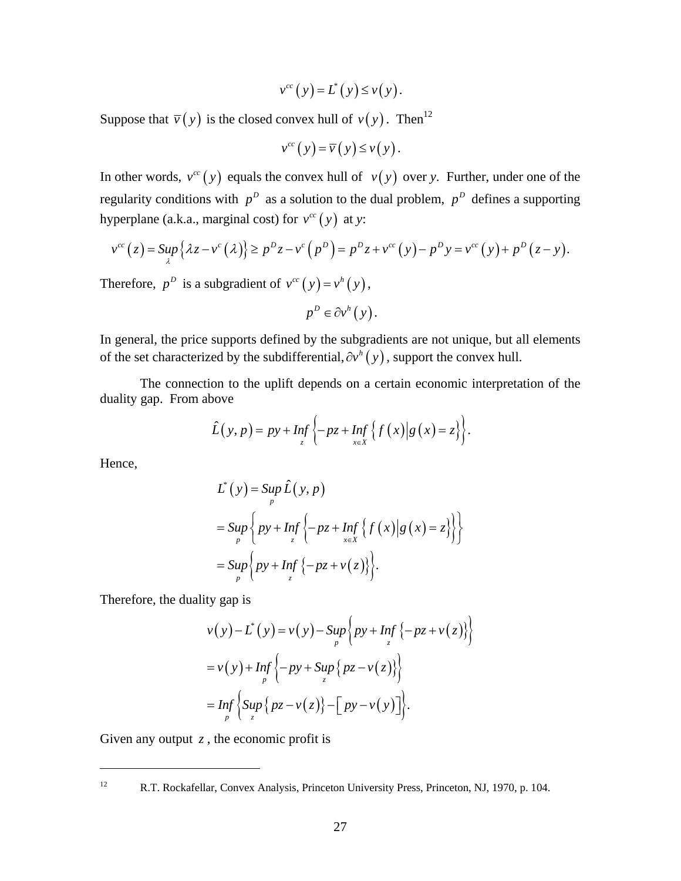$$
v^{cc}(y) = L^*(y) \le v(y).
$$

Suppose that  $\overline{v}(y)$  is the closed convex hull of  $v(y)$ . Then<sup>12</sup>

$$
v^{cc}(y) = \overline{v}(y) \le v(y).
$$

In other words,  $v^{cc}(y)$  equals the convex hull of  $v(y)$  over *y*. Further, under one of the regularity conditions with  $p^D$  as a solution to the dual problem,  $p^D$  defines a supporting hyperplane (a.k.a., marginal cost) for  $v^{cc}(y)$  at *y*:

$$
v^{cc}(z) = \sup_{\lambda} \{ \lambda z - v^c(\lambda) \} \ge p^D z - v^c(p^D) = p^D z + v^{cc}(y) - p^D y = v^{cc}(y) + p^D(z - y).
$$

Therefore,  $p^D$  is a subgradient of  $v^{cc}(y) = v^h(y)$ ,

$$
p^D \in \partial v^h(y).
$$

In general, the price supports defined by the subgradients are not unique, but all elements of the set characterized by the subdifferential,  $\partial v^h(y)$ , support the convex hull.

The connection to the uplift depends on a certain economic interpretation of the duality gap. From above

$$
\hat{L}(y,p) = py + Inf_z \left\{ -pz + Inf_{x \in X} \left\{ f(x) \middle| g(x) = z \right\} \right\}.
$$

Hence,

<u>.</u>

$$
L^*(y) = \sup_{p} \hat{L}(y, p)
$$
  
= 
$$
\sup_{p} \left\{ py + \inf_{z} \left\{ -pz + \inf_{x \in X} \left\{ f(x) \middle| g(x) = z \right\} \right\} \right\}
$$
  
= 
$$
\sup_{p} \left\{ py + \inf_{z} \left\{ -pz + v(z) \right\} \right\}.
$$

Therefore, the duality gap is

$$
v(y) - L^*(y) = v(y) - \sup_p \left\{ py + Inf_z \{-pz + v(z)\} \right\}
$$
  
=  $v(y) + Inf_z \left\{ -py + Sup_z \{ pz - v(z)\} \right\}$   
=  $Inf_z \left\{ Sup_z \{ pz - v(z) \} - [py - v(y)] \right\}.$ 

Given any output  $z$ , the economic profit is

<sup>12</sup> R.T. Rockafellar, Convex Analysis, Princeton University Press, Princeton, NJ, 1970, p. 104.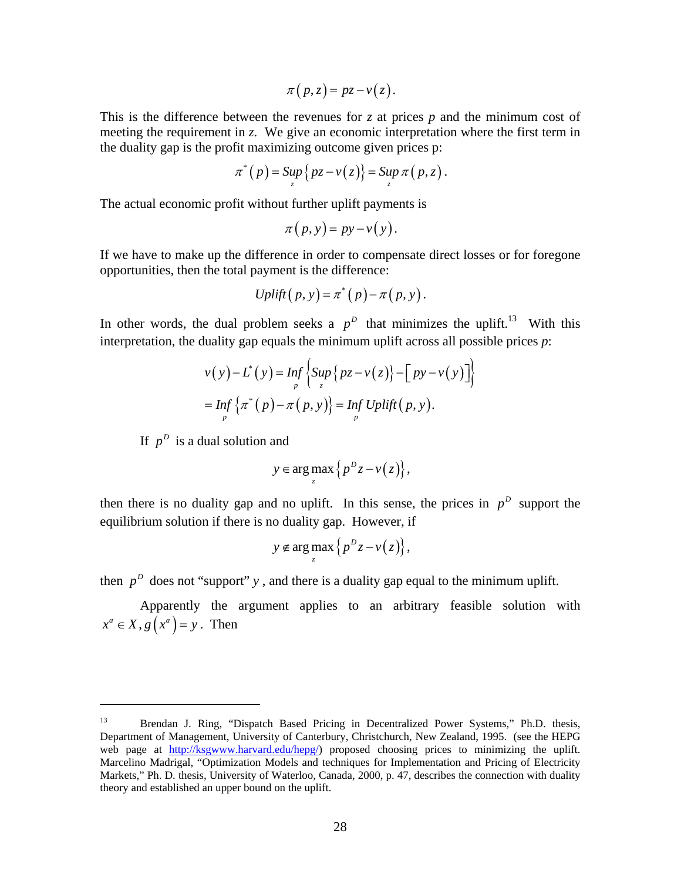$$
\pi(p,z)=pz-v(z).
$$

This is the difference between the revenues for *z* at prices *p* and the minimum cost of meeting the requirement in *z*. We give an economic interpretation where the first term in the duality gap is the profit maximizing outcome given prices p:

$$
\pi^*(p) = \sup_z \{ pz - v(z) \} = \sup_z \pi(p, z).
$$

The actual economic profit without further uplift payments is

$$
\pi(p, y) = py - v(y).
$$

If we have to make up the difference in order to compensate direct losses or for foregone opportunities, then the total payment is the difference:

$$
Uplift(p, y) = \pi^*(p) - \pi(p, y).
$$

In other words, the dual problem seeks a  $p^D$  that minimizes the uplift.<sup>13</sup> With this interpretation, the duality gap equals the minimum uplift across all possible prices *p*:

$$
v(y) - L^*(y) = \inf_{p} \left\{ \sup_{z} \{ pz - v(z) \} - \left[ py - v(y) \right] \right\}
$$
  
= 
$$
\inf_{p} \left\{ \pi^*(p) - \pi(p, y) \right\} = \inf_{p} Uplift(p, y).
$$

If  $p^D$  is a dual solution and

1

$$
y \in \arg\max_{z} \left\{ p^D z - v(z) \right\},\,
$$

then there is no duality gap and no uplift. In this sense, the prices in  $p<sup>D</sup>$  support the equilibrium solution if there is no duality gap. However, if

$$
y \notin \arg \max_{z} \{ p^D z - v(z) \},
$$

then  $p^D$  does not "support" *y*, and there is a duality gap equal to the minimum uplift.

Apparently the argument applies to an arbitrary feasible solution with  $x^a \in X$ ,  $g(x^a) = y$ . Then

<sup>&</sup>lt;sup>13</sup> Brendan J. Ring, "Dispatch Based Pricing in Decentralized Power Systems," Ph.D. thesis, Department of Management, University of Canterbury, Christchurch, New Zealand, 1995. (see the HEPG web page at http://ksgwww.harvard.edu/hepg/) proposed choosing prices to minimizing the uplift. Marcelino Madrigal, "Optimization Models and techniques for Implementation and Pricing of Electricity Markets," Ph. D. thesis, University of Waterloo, Canada, 2000, p. 47, describes the connection with duality theory and established an upper bound on the uplift.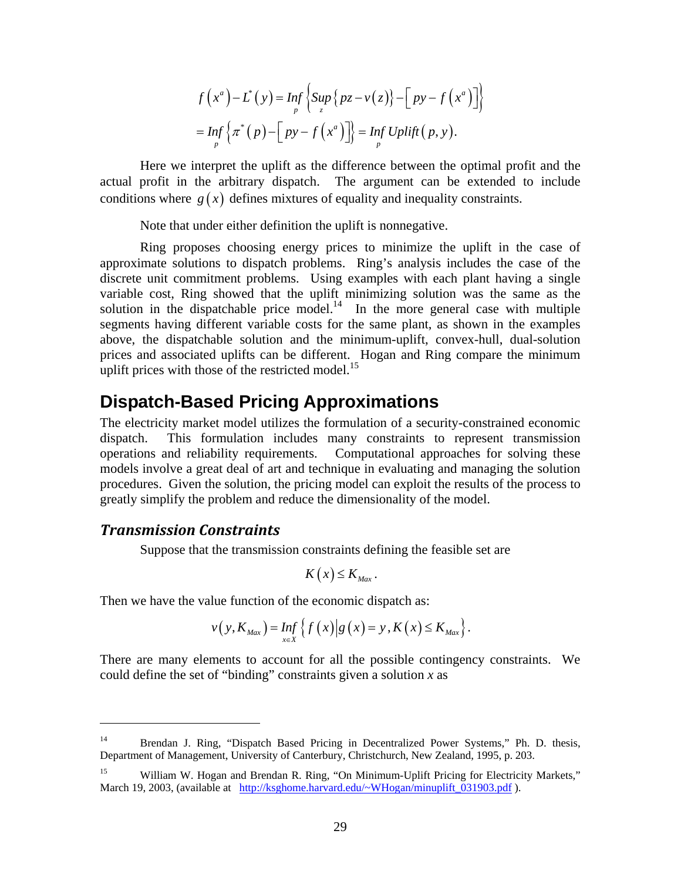$$
f(x^{a})-L^{*}(y) = \underset{p}{Inf} \left\{ \underset{z}{\text{Sup}} \left\{ pz - v(z) \right\} - \left[ py - f(x^{a}) \right] \right\}
$$

$$
= \underset{p}{Inf} \left\{ \pi^{*}(p) - \left[ py - f(x^{a}) \right] \right\} = \underset{p}{Inf} \text{Uplift}(p, y).
$$

Here we interpret the uplift as the difference between the optimal profit and the actual profit in the arbitrary dispatch. The argument can be extended to include conditions where  $g(x)$  defines mixtures of equality and inequality constraints.

Note that under either definition the uplift is nonnegative.

Ring proposes choosing energy prices to minimize the uplift in the case of approximate solutions to dispatch problems. Ring's analysis includes the case of the discrete unit commitment problems. Using examples with each plant having a single variable cost, Ring showed that the uplift minimizing solution was the same as the solution in the dispatchable price model. $14$  In the more general case with multiple segments having different variable costs for the same plant, as shown in the examples above, the dispatchable solution and the minimum-uplift, convex-hull, dual-solution prices and associated uplifts can be different. Hogan and Ring compare the minimum uplift prices with those of the restricted model.<sup>15</sup>

## **Dispatch-Based Pricing Approximations**

The electricity market model utilizes the formulation of a security-constrained economic dispatch. This formulation includes many constraints to represent transmission operations and reliability requirements. Computational approaches for solving these models involve a great deal of art and technique in evaluating and managing the solution procedures. Given the solution, the pricing model can exploit the results of the process to greatly simplify the problem and reduce the dimensionality of the model.

#### *Transmission Constraints*

<u>.</u>

Suppose that the transmission constraints defining the feasible set are

$$
K(x) \leq K_{\text{Max}}.
$$

Then we have the value function of the economic dispatch as:

$$
v(y, K_{Max}) = Inf_{x \in X} \left\{ f(x) | g(x) = y, K(x) \le K_{Max} \right\}.
$$

There are many elements to account for all the possible contingency constraints. We could define the set of "binding" constraints given a solution *x* as

<sup>&</sup>lt;sup>14</sup> Brendan J. Ring, "Dispatch Based Pricing in Decentralized Power Systems," Ph. D. thesis, Department of Management, University of Canterbury, Christchurch, New Zealand, 1995, p. 203.

<sup>&</sup>lt;sup>15</sup> William W. Hogan and Brendan R. Ring, "On Minimum-Uplift Pricing for Electricity Markets," March 19, 2003, (available at http://ksghome.harvard.edu/~WHogan/minuplift\_031903.pdf ).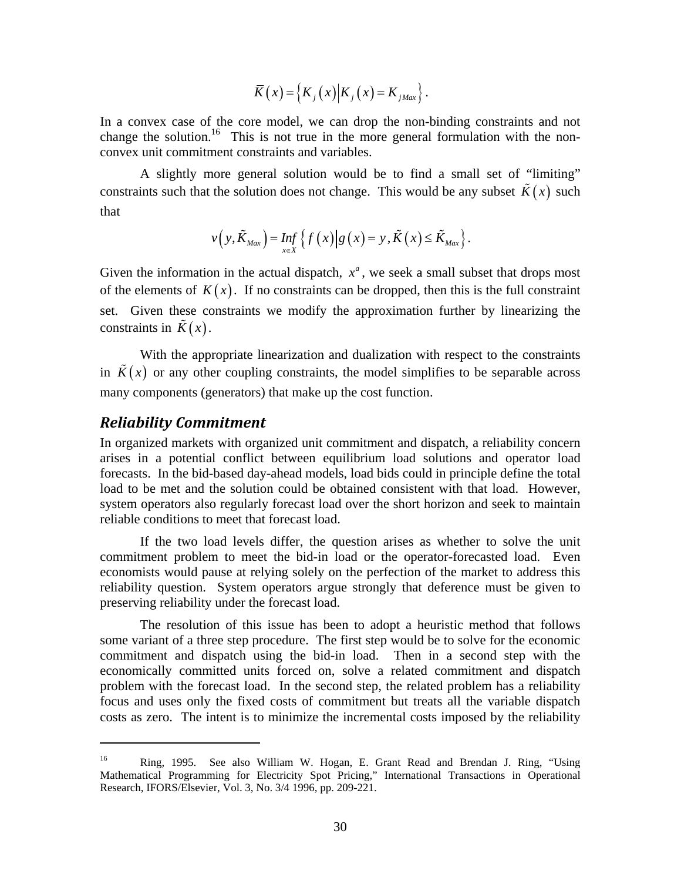$$
\overline{K}(x) = \left\{ K_j(x) \middle| K_j(x) = K_{jMax} \right\}.
$$

In a convex case of the core model, we can drop the non-binding constraints and not change the solution.<sup>16</sup> This is not true in the more general formulation with the nonconvex unit commitment constraints and variables.

A slightly more general solution would be to find a small set of "limiting" constraints such that the solution does not change. This would be any subset  $\tilde{K}(x)$  such that

$$
v(y,\tilde{K}_{Max}) = Inf_{x \in X} \left\{ f(x) | g(x) = y, \tilde{K}(x) \le \tilde{K}_{Max} \right\}.
$$

Given the information in the actual dispatch,  $x^a$ , we seek a small subset that drops most of the elements of  $K(x)$ . If no constraints can be dropped, then this is the full constraint set. Given these constraints we modify the approximation further by linearizing the constraints in  $\tilde{K}(x)$ .

With the appropriate linearization and dualization with respect to the constraints in  $\overline{K}(x)$  or any other coupling constraints, the model simplifies to be separable across many components (generators) that make up the cost function.

#### *Reliability Commitment*

 $\overline{a}$ 

In organized markets with organized unit commitment and dispatch, a reliability concern arises in a potential conflict between equilibrium load solutions and operator load forecasts. In the bid-based day-ahead models, load bids could in principle define the total load to be met and the solution could be obtained consistent with that load. However, system operators also regularly forecast load over the short horizon and seek to maintain reliable conditions to meet that forecast load.

 If the two load levels differ, the question arises as whether to solve the unit commitment problem to meet the bid-in load or the operator-forecasted load. Even economists would pause at relying solely on the perfection of the market to address this reliability question. System operators argue strongly that deference must be given to preserving reliability under the forecast load.

 The resolution of this issue has been to adopt a heuristic method that follows some variant of a three step procedure. The first step would be to solve for the economic commitment and dispatch using the bid-in load. Then in a second step with the economically committed units forced on, solve a related commitment and dispatch problem with the forecast load. In the second step, the related problem has a reliability focus and uses only the fixed costs of commitment but treats all the variable dispatch costs as zero. The intent is to minimize the incremental costs imposed by the reliability

<sup>16</sup> Ring, 1995. See also William W. Hogan, E. Grant Read and Brendan J. Ring, "Using Mathematical Programming for Electricity Spot Pricing," International Transactions in Operational Research, IFORS/Elsevier, Vol. 3, No. 3/4 1996, pp. 209-221.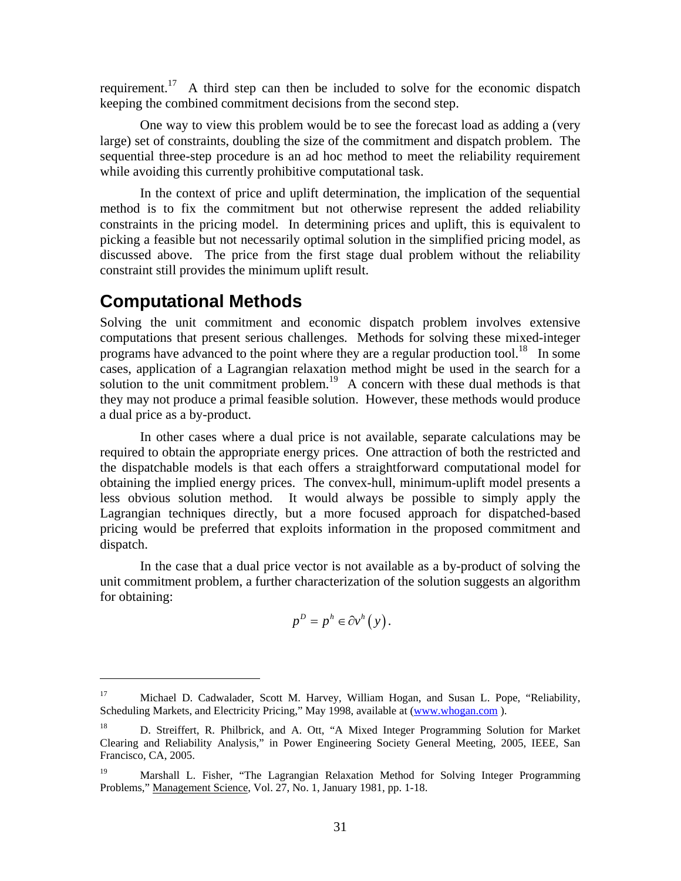requirement.<sup>17</sup> A third step can then be included to solve for the economic dispatch keeping the combined commitment decisions from the second step.

 One way to view this problem would be to see the forecast load as adding a (very large) set of constraints, doubling the size of the commitment and dispatch problem. The sequential three-step procedure is an ad hoc method to meet the reliability requirement while avoiding this currently prohibitive computational task.

 In the context of price and uplift determination, the implication of the sequential method is to fix the commitment but not otherwise represent the added reliability constraints in the pricing model. In determining prices and uplift, this is equivalent to picking a feasible but not necessarily optimal solution in the simplified pricing model, as discussed above. The price from the first stage dual problem without the reliability constraint still provides the minimum uplift result.

## **Computational Methods**

<u>.</u>

Solving the unit commitment and economic dispatch problem involves extensive computations that present serious challenges. Methods for solving these mixed-integer programs have advanced to the point where they are a regular production tool.<sup>18</sup> In some cases, application of a Lagrangian relaxation method might be used in the search for a solution to the unit commitment problem.<sup>19</sup> A concern with these dual methods is that they may not produce a primal feasible solution. However, these methods would produce a dual price as a by-product.

In other cases where a dual price is not available, separate calculations may be required to obtain the appropriate energy prices. One attraction of both the restricted and the dispatchable models is that each offers a straightforward computational model for obtaining the implied energy prices. The convex-hull, minimum-uplift model presents a less obvious solution method. It would always be possible to simply apply the Lagrangian techniques directly, but a more focused approach for dispatched-based pricing would be preferred that exploits information in the proposed commitment and dispatch.

In the case that a dual price vector is not available as a by-product of solving the unit commitment problem, a further characterization of the solution suggests an algorithm for obtaining:

$$
p^D = p^h \in \partial v^h(y).
$$

<sup>17</sup> Michael D. Cadwalader, Scott M. Harvey, William Hogan, and Susan L. Pope, "Reliability, Scheduling Markets, and Electricity Pricing," May 1998, available at (www.whogan.com).

<sup>&</sup>lt;sup>18</sup> D. Streiffert, R. Philbrick, and A. Ott, "A Mixed Integer Programming Solution for Market Clearing and Reliability Analysis," in Power Engineering Society General Meeting, 2005, IEEE, San Francisco, CA, 2005.

<sup>&</sup>lt;sup>19</sup> Marshall L. Fisher, "The Lagrangian Relaxation Method for Solving Integer Programming Problems," Management Science, Vol. 27, No. 1, January 1981, pp. 1-18.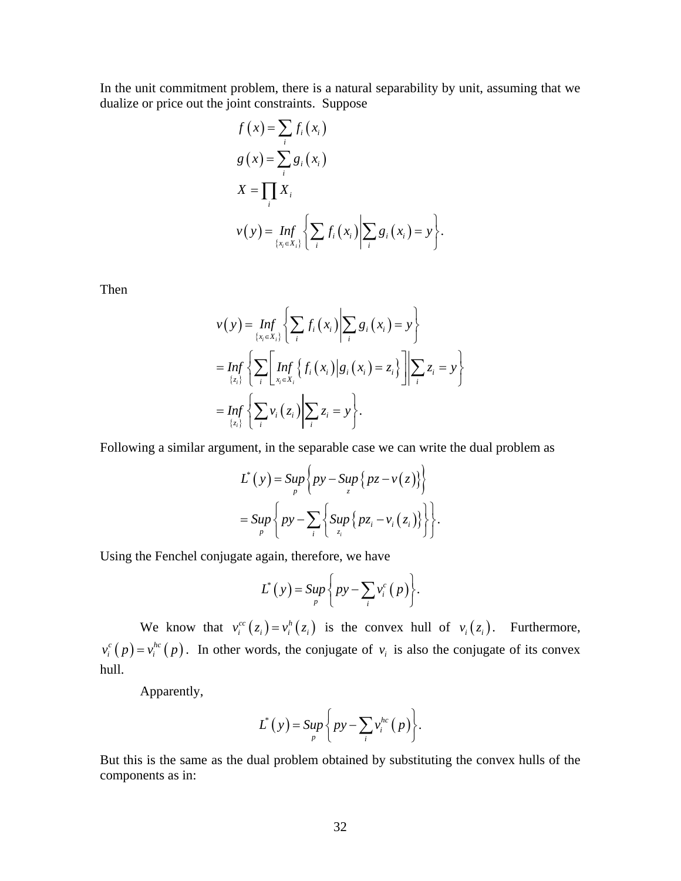In the unit commitment problem, there is a natural separability by unit, assuming that we dualize or price out the joint constraints. Suppose

$$
f(x) = \sum_{i} f_i(x_i)
$$
  
\n
$$
g(x) = \sum_{i} g_i(x_i)
$$
  
\n
$$
X = \prod_{i} X_i
$$
  
\n
$$
v(y) = \inf_{\{x_i \in X_i\}} \left\{ \sum_{i} f_i(x_i) \middle| \sum_{i} g_i(x_i) = y \right\}.
$$

Then

$$
v(y) = \inf_{\{x_i \in X_i\}} \left\{ \sum_i f_i(x_i) \middle| \sum_i g_i(x_i) = y \right\}
$$
  
= 
$$
\inf_{\{z_i\}} \left\{ \sum_i \left[ \inf_{x_i \in X_i} \left\{ f_i(x_i) \middle| g_i(x_i) = z_i \right\} \right] \middle| \sum_i z_i = y \right\}
$$
  
= 
$$
\inf_{\{z_i\}} \left\{ \sum_i v_i(z_i) \middle| \sum_i z_i = y \right\}.
$$

Following a similar argument, in the separable case we can write the dual problem as

$$
L^*(y) = \sup_{p} \left\{ py - \sup_{z} \left\{ pz - v(z) \right\} \right\}
$$
  
= 
$$
\sup_{p} \left\{ py - \sum_{i} \left\{ \sup_{z_i} \left\{ pz_i - v_i(z_i) \right\} \right\} \right\}.
$$

Using the Fenchel conjugate again, therefore, we have

$$
L^*(y) = \sup_p \left\{ py - \sum_i v_i^c(p) \right\}.
$$

We know that  $v_i^{cc}(z_i) = v_i^{h}(z_i)$  is the convex hull of  $v_i(z_i)$ . Furthermore,  $v_i^c(p) = v_i^{hc}(p)$ . In other words, the conjugate of  $v_i$  is also the conjugate of its convex hull.

Apparently,

$$
L^*(y) = \sup_p \left\{ py - \sum_i v_i^{hc}(p) \right\}.
$$

But this is the same as the dual problem obtained by substituting the convex hulls of the components as in: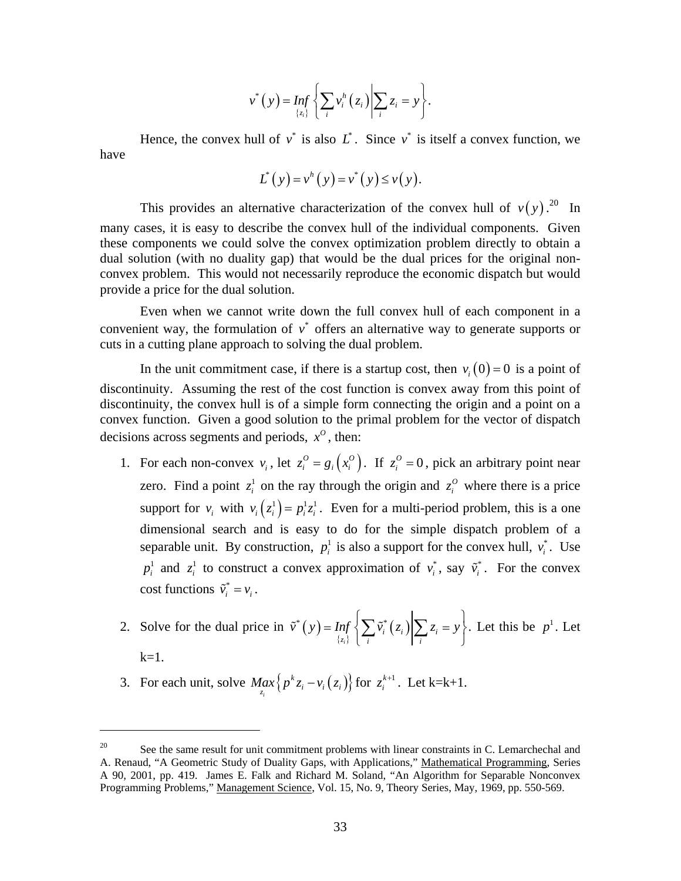$$
v^*(y) = \inf_{\{z_i\}} \left\{ \sum_i v_i^h(z_i) \middle| \sum_i z_i = y \right\}.
$$

Hence, the convex hull of  $v^*$  is also  $L^*$ . Since  $v^*$  is itself a convex function, we have

$$
L^{*}(y) = v^{h}(y) = v^{*}(y) \le v(y).
$$

This provides an alternative characterization of the convex hull of  $v(y)$ .<sup>20</sup> In many cases, it is easy to describe the convex hull of the individual components. Given these components we could solve the convex optimization problem directly to obtain a dual solution (with no duality gap) that would be the dual prices for the original nonconvex problem. This would not necessarily reproduce the economic dispatch but would provide a price for the dual solution.

Even when we cannot write down the full convex hull of each component in a convenient way, the formulation of  $v^*$  offers an alternative way to generate supports or cuts in a cutting plane approach to solving the dual problem.

In the unit commitment case, if there is a startup cost, then  $v_i(0) = 0$  is a point of discontinuity. Assuming the rest of the cost function is convex away from this point of discontinuity, the convex hull is of a simple form connecting the origin and a point on a convex function. Given a good solution to the primal problem for the vector of dispatch decisions across segments and periods,  $x^0$ , then:

- 1. For each non-convex  $v_i$ , let  $z_i^0 = g_i(x_i^0)$ . If  $z_i^0 = 0$ , pick an arbitrary point near zero. Find a point  $z_i^1$  on the ray through the origin and  $z_i^0$  where there is a price support for  $v_i$  with  $v_i(z_i) = p_i^1 z_i^1$ . Even for a multi-period problem, this is a one dimensional search and is easy to do for the simple dispatch problem of a separable unit. By construction,  $p_i^1$  is also a support for the convex hull,  $v_i^*$ . Use  $p_i^1$  and  $z_i^1$  to construct a convex approximation of  $v_i^*$ , say  $\tilde{v}_i^*$ . For the convex cost functions  $\tilde{v}_i^* = v_i$ .
- 2. Solve for the dual price in  $\tilde{v}^*(y)$  ${z_i}$  $\tilde{v}^*(y) = Inf \left\{ \sum \tilde{v}_i^*(z_i) \middle| \sum z_i = y \right\}.$  $\tilde{v}^*(y) = \inf_{\{z_i\}} \left\{ \sum_i \tilde{v}_i^*(z_i) \middle| \sum_i z_i = y \right\}$ . Let this be  $p^1$ . Let  $k=1$ .
- 3. For each unit, solve  $Max_{z_i} \{ p^k z_i v_i (z_i) \}$ *k*  $\max_{z_i} \left\{ p^k z_i - v_i(z_i) \right\}$  for  $z_i^{k+1}$ . Let k=k+1.

 $\overline{a}$ 

<sup>&</sup>lt;sup>20</sup> See the same result for unit commitment problems with linear constraints in C. Lemarchechal and A. Renaud, "A Geometric Study of Duality Gaps, with Applications," Mathematical Programming, Series A 90, 2001, pp. 419. James E. Falk and Richard M. Soland, "An Algorithm for Separable Nonconvex Programming Problems," Management Science, Vol. 15, No. 9, Theory Series, May, 1969, pp. 550-569.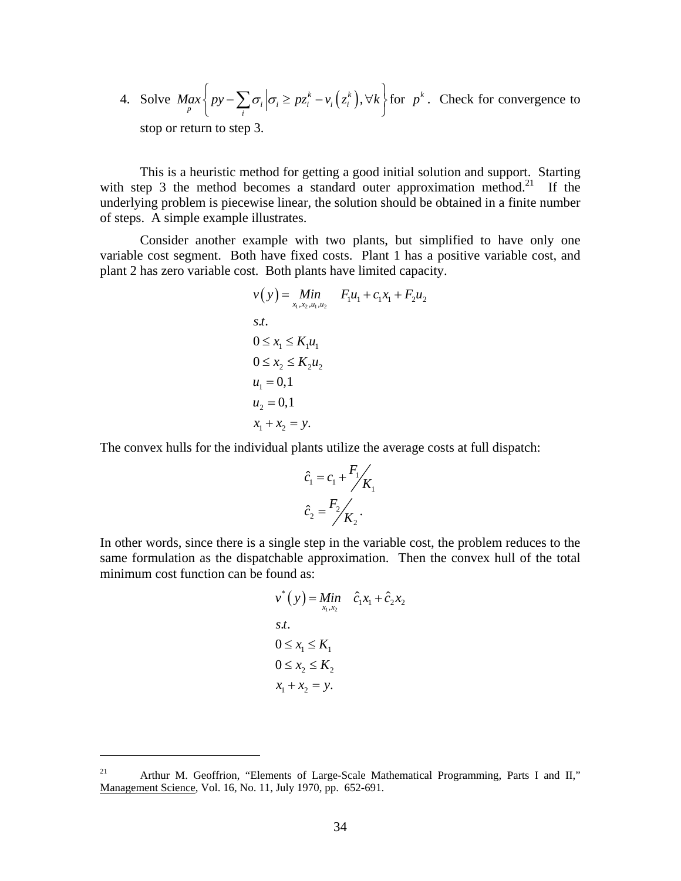4. Solve 
$$
Max \left\{ py - \sum_{i} \sigma_i \middle| \sigma_i \geq pz_i^k - v_i(z_i^k), \forall k \right\}
$$
 for  $p^k$ . Check for convergence to stop or return to step 3.

This is a heuristic method for getting a good initial solution and support. Starting with step 3 the method becomes a standard outer approximation method.<sup>21</sup> If the underlying problem is piecewise linear, the solution should be obtained in a finite number of steps. A simple example illustrates.

Consider another example with two plants, but simplified to have only one variable cost segment. Both have fixed costs. Plant 1 has a positive variable cost, and plant 2 has zero variable cost. Both plants have limited capacity.

$$
v(y) = Min \t F_1u_1 + c_1x_1 + F_2u_2
$$
  
s.t.  

$$
0 \le x_1 \le K_1u_1
$$
  

$$
0 \le x_2 \le K_2u_2
$$
  

$$
u_1 = 0,1
$$
  

$$
u_2 = 0,1
$$
  

$$
x_1 + x_2 = y.
$$

The convex hulls for the individual plants utilize the average costs at full dispatch:

$$
\hat{c}_1 = c_1 + \frac{F_1}{K_1}
$$
\n
$$
\hat{c}_2 = \frac{F_2}{K_2}.
$$

In other words, since there is a single step in the variable cost, the problem reduces to the same formulation as the dispatchable approximation. Then the convex hull of the total minimum cost function can be found as:

$$
v^*(y) = Min \quad \hat{c}_1 x_1 + \hat{c}_2 x_2
$$
  
s.t.  

$$
0 \le x_1 \le K_1
$$
  

$$
0 \le x_2 \le K_2
$$
  

$$
x_1 + x_2 = y.
$$

 $\overline{a}$ 

<sup>&</sup>lt;sup>21</sup> Arthur M. Geoffrion, "Elements of Large-Scale Mathematical Programming, Parts I and II," Management Science, Vol. 16, No. 11, July 1970, pp. 652-691.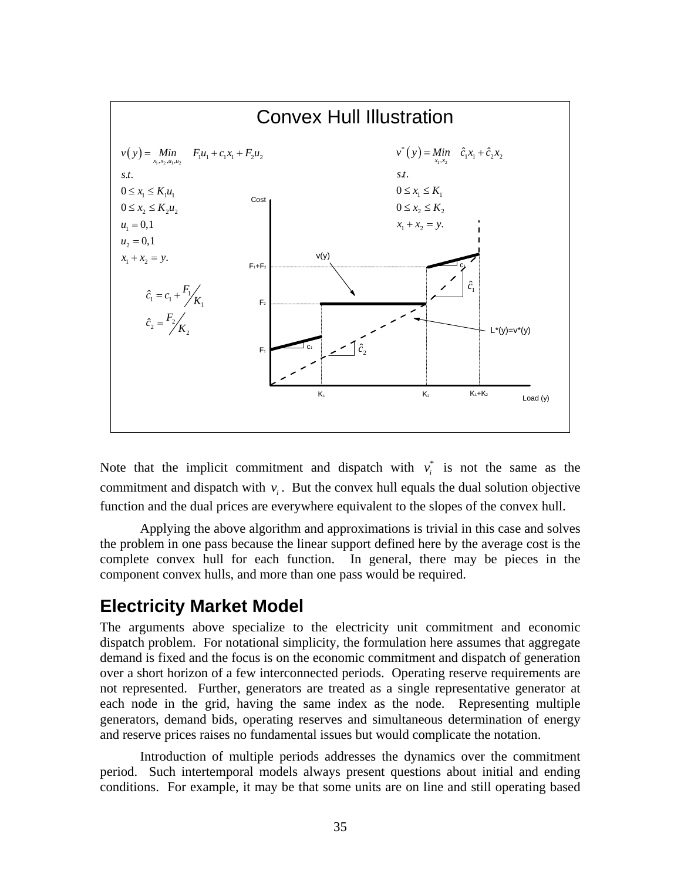

Note that the implicit commitment and dispatch with  $v_i^*$  is not the same as the commitment and dispatch with  $v_i$ . But the convex hull equals the dual solution objective function and the dual prices are everywhere equivalent to the slopes of the convex hull.

Applying the above algorithm and approximations is trivial in this case and solves the problem in one pass because the linear support defined here by the average cost is the complete convex hull for each function. In general, there may be pieces in the component convex hulls, and more than one pass would be required.

# **Electricity Market Model**

The arguments above specialize to the electricity unit commitment and economic dispatch problem. For notational simplicity, the formulation here assumes that aggregate demand is fixed and the focus is on the economic commitment and dispatch of generation over a short horizon of a few interconnected periods. Operating reserve requirements are not represented. Further, generators are treated as a single representative generator at each node in the grid, having the same index as the node. Representing multiple generators, demand bids, operating reserves and simultaneous determination of energy and reserve prices raises no fundamental issues but would complicate the notation.

Introduction of multiple periods addresses the dynamics over the commitment period. Such intertemporal models always present questions about initial and ending conditions. For example, it may be that some units are on line and still operating based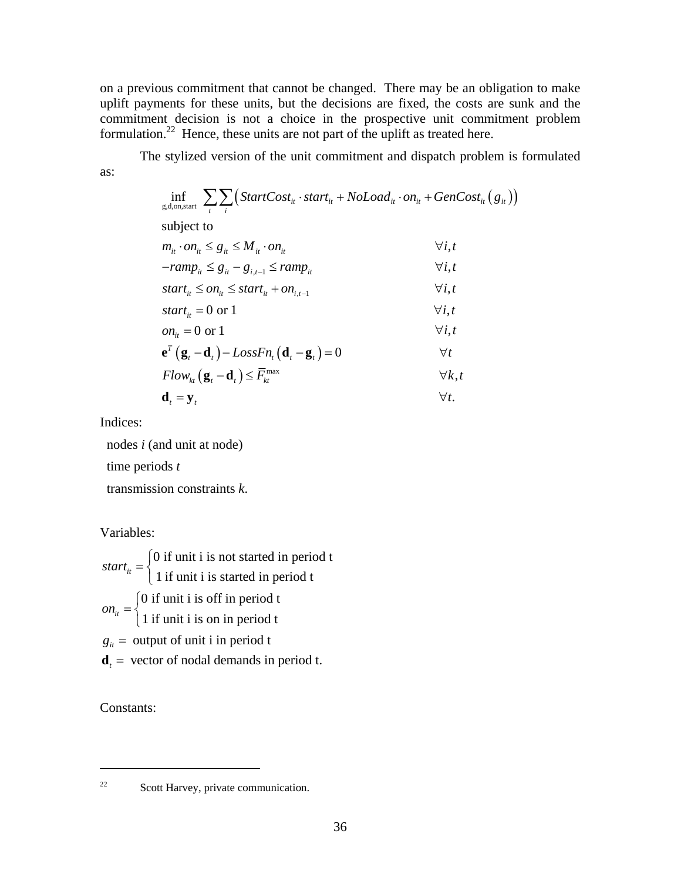on a previous commitment that cannot be changed. There may be an obligation to make uplift payments for these units, but the decisions are fixed, the costs are sunk and the commitment decision is not a choice in the prospective unit commitment problem formulation.22 Hence, these units are not part of the uplift as treated here.

The stylized version of the unit commitment and dispatch problem is formulated as:

$$
\inf_{g,d, on, start} \sum_{t} \sum_{i} \Big( StartCost_{it} \cdot start_{it} + Nolload_{it} \cdot on_{it} + GenCost_{it} (g_{it}) \Big)
$$
\nsubject to\n
$$
m_{it} \cdot on_{it} \leq g_{it} \leq M_{it} \cdot on_{it}
$$
\n
$$
-ramp_{it} \leq g_{it} - g_{i,t-1} \leq ramp_{it}
$$
\n
$$
-ramp_{it} \leq g_{it} - g_{i,t-1} \leq ramp_{it}
$$
\n
$$
start_{it} \leq on_{it} \leq start_{it} + on_{i,t-1}
$$
\n
$$
start_{it} = 0 \text{ or } 1
$$
\n
$$
on_{it} = 0 \text{ or } 1
$$
\n
$$
on_{it} = 0 \text{ or } 1
$$
\n
$$
v_{i,t}
$$
\n
$$
e^{r} (g_{t} - d_{t}) - LossFn_{t} (d_{t} - g_{t}) = 0
$$
\n
$$
Tlow_{kt} (g_{t} - d_{t}) \leq \overline{F}_{kt}^{max}
$$
\n
$$
V_{t}.
$$
\n
$$
d_{t} = y_{t}
$$
\n
$$
\forall t.
$$

Indices:

nodes *i* (and unit at node)

time periods *t*

transmission constraints *k*.

Variables:

0 if unit i is not started in period t  $start_{it} = \begin{cases} 0 \text{ if unit i is not started in period t} \\ 1 \text{ if unit i is started in period t} \end{cases}$ 0 if unit i is off in period t  $on_{it} = \begin{cases} 0 \text{ if unit i is off in period } t \\ 1 \text{ if unit i is on in period t} \end{cases}$  $g_{it}$  = output of unit i in period t  $\mathbf{d}_t$  = vector of nodal demands in period t.  $\overline{a}$  $\overline{a}$ 

Constants:

<u>.</u>

<sup>22</sup> Scott Harvey, private communication.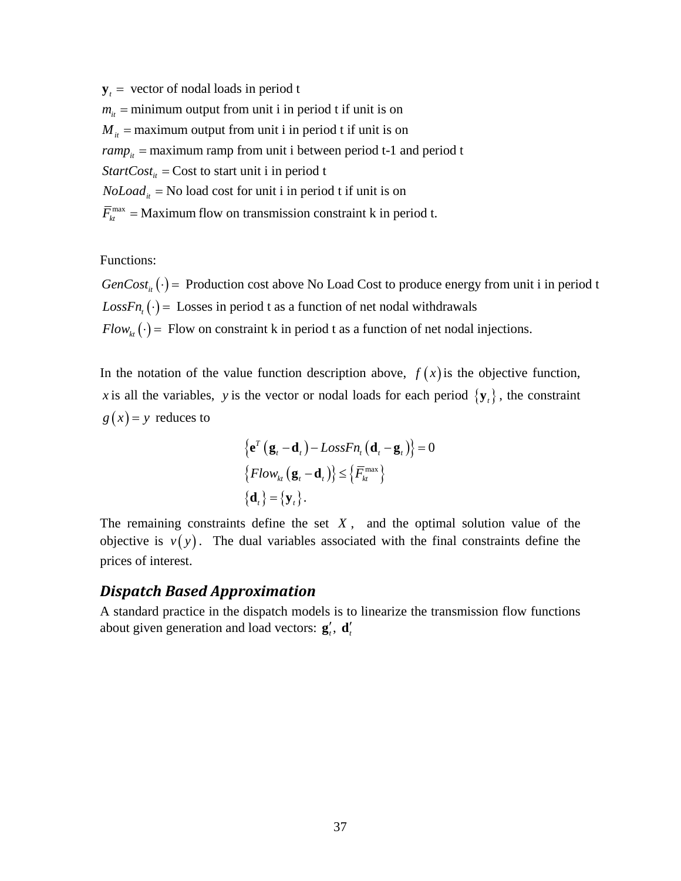$y_t$  = vector of nodal loads in period t  $m_{it}$  = minimum output from unit i in period t if unit is on  $M_{it}$  = maximum output from unit i in period t if unit is on  $ramp_{it}$  = maximum ramp from unit i between period t-1 and period t  $\overline{F}_{kt}^{\text{max}}$  = Maximum flow on transmission constraint k in period t. *StartCost*<sub>*it*</sub> = Cost to start unit i in period t  $Noload<sub>it</sub>$  = No load cost for unit i in period t if unit is on

Functions:

 $GenCost_{it}(\cdot)$  = Production cost above No Load Cost to produce energy from unit i in period t  $LossFn_{\iota}(\cdot) =$  Losses in period t as a function of net nodal withdrawals  $Flow_{kt}(\cdot)$  = Flow on constraint k in period t as a function of net nodal injections.

In the notation of the value function description above,  $f(x)$  is the objective function, *x* is all the variables, *y* is the vector or nodal loads for each period  $\{y_t\}$ , the constraint  $g(x) = y$  reduces to

$$
\left\{ \mathbf{e}^{T} \left( \mathbf{g}_{t} - \mathbf{d}_{t} \right) - LossFn_{t} \left( \mathbf{d}_{t} - \mathbf{g}_{t} \right) \right\} = 0
$$
  

$$
\left\{ Flow_{kt} \left( \mathbf{g}_{t} - \mathbf{d}_{t} \right) \right\} \leq \left\{ \overline{F}_{kt}^{\max} \right\}
$$
  

$$
\left\{ \mathbf{d}_{t} \right\} = \left\{ \mathbf{y}_{t} \right\}.
$$

The remaining constraints define the set  $X$ , and the optimal solution value of the objective is  $v(y)$ . The dual variables associated with the final constraints define the prices of interest.

#### *Dispatch Based Approximation*

A standard practice in the dispatch models is to linearize the transmission flow functions about given generation and load vectors:  $g'_i$ ,  $d'_i$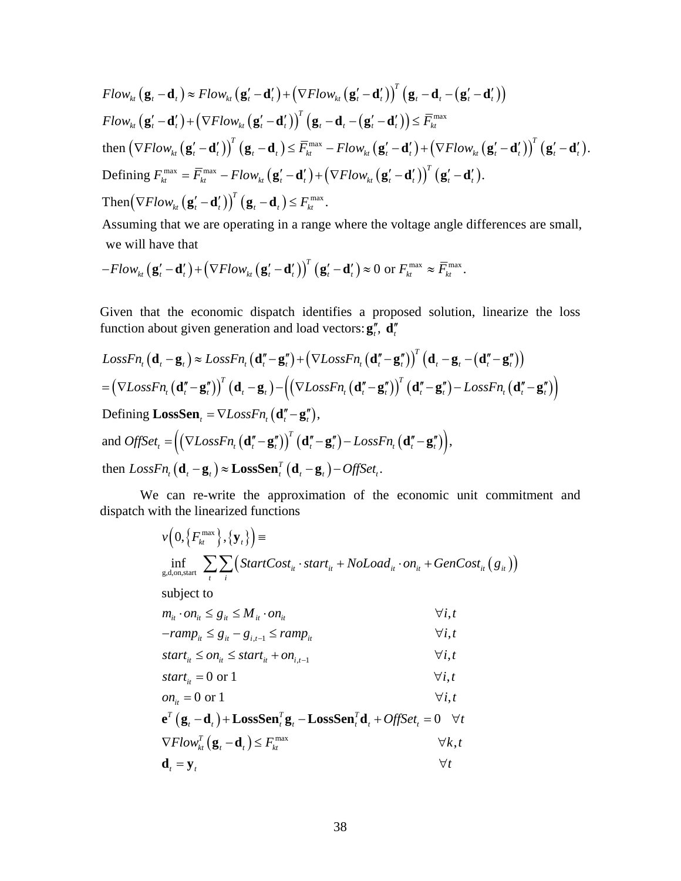$$
Flow_{kt}(\mathbf{g}_{t}-\mathbf{d}_{t}) \approx Flow_{kt}(\mathbf{g}_{t}'-\mathbf{d}_{t}') + (\nabla Flow_{kt}(\mathbf{g}_{t}'-\mathbf{d}_{t}'))^{T}(\mathbf{g}_{t}-\mathbf{d}_{t}-(\mathbf{g}_{t}'-\mathbf{d}_{t}'))
$$
\n
$$
Flow_{kt}(\mathbf{g}_{t}'-\mathbf{d}_{t}') + (\nabla Flow_{kt}(\mathbf{g}_{t}'-\mathbf{d}_{t}'))^{T}(\mathbf{g}_{t}-\mathbf{d}_{t}-(\mathbf{g}_{t}'-\mathbf{d}_{t}')) \leq \overline{F}_{kt}^{\max}
$$
\n
$$
\text{then } (\nabla Flow_{kt}(\mathbf{g}_{t}'-\mathbf{d}_{t}'))^{T}(\mathbf{g}_{t}-\mathbf{d}_{t}) \leq \overline{F}_{kt}^{\max} - Flow_{kt}(\mathbf{g}_{t}'-\mathbf{d}_{t}') + (\nabla Flow_{kt}(\mathbf{g}_{t}'-\mathbf{d}_{t}'))^{T}(\mathbf{g}_{t}'-\mathbf{d}_{t}').
$$
\n
$$
\text{Defining } F_{kt}^{\max} = \overline{F}_{kt}^{\max} - Flow_{kt}(\mathbf{g}_{t}'-\mathbf{d}_{t}') + (\nabla Flow_{kt}(\mathbf{g}_{t}'-\mathbf{d}_{t}'))^{T}(\mathbf{g}_{t}'-\mathbf{d}_{t}').
$$
\n
$$
\text{Then } (\nabla Flow_{kt}(\mathbf{g}_{t}'-\mathbf{d}_{t}'))^{T}(\mathbf{g}_{t}-\mathbf{d}_{t}) \leq F_{kt}^{\max}.
$$

Assuming that we are operating in a range where the voltage angle differences are small, we will have that

$$
-Flow_{kt}(\mathbf{g}'_t-\mathbf{d}'_t)+(\nabla Flow_{kt}(\mathbf{g}'_t-\mathbf{d}'_t))^T(\mathbf{g}'_t-\mathbf{d}'_t)\approx 0 \text{ or } F_{kt}^{\max}\approx \overline{F}_{kt}^{\max}.
$$

Given that the economic dispatch identifies a proposed solution, linearize the loss function about given generation and load vectors:  $\mathbf{g}''_i$ ,  $\mathbf{d}''_i$ 

$$
LossFn_{t}(\mathbf{d}_{t} - \mathbf{g}_{t}) \approx LossFn_{t}(\mathbf{d}_{t}'' - \mathbf{g}_{t}'') + (\nabla LossFn_{t}(\mathbf{d}_{t}'' - \mathbf{g}_{t}''))^{T}(\mathbf{d}_{t} - \mathbf{g}_{t} - (\mathbf{d}_{t}'' - \mathbf{g}_{t}''))
$$
\n
$$
= (\nabla LossFn_{t}(\mathbf{d}_{t}'' - \mathbf{g}_{t}''))^{T}(\mathbf{d}_{t} - \mathbf{g}_{t}) - ((\nabla LossFn_{t}(\mathbf{d}_{t}'' - \mathbf{g}_{t}''))^{T}(\mathbf{d}_{t}'' - \mathbf{g}_{t}'') - LossFn_{t}(\mathbf{d}_{t}'' - \mathbf{g}_{t}''))
$$
\nDefining LossSen<sub>t</sub> =  $\nabla LossFn_{t}(\mathbf{d}_{t}'' - \mathbf{g}_{t}'')$ ,  
\nand  $OffSet_{t} = ((\nabla LossFn_{t}(\mathbf{d}_{t}'' - \mathbf{g}_{t}''))^{T}(\mathbf{d}_{t}'' - \mathbf{g}_{t}'') - LossFn_{t}(\mathbf{d}_{t}'' - \mathbf{g}_{t}''))$ ,  
\nthen  $LossFn_{t}(\mathbf{d}_{t} - \mathbf{g}_{t}) \approx LossSen_{t}^{T}(\mathbf{d}_{t} - \mathbf{g}_{t}) - OffSet_{t}$ .

We can re-write the approximation of the economic unit commitment and dispatch with the linearized functions

$$
v\left(0,\left\{F_{kt}^{\max}\right\},\left\{\mathbf{y}_{t}\right\}\right)=
$$
\n
$$
\inf_{g,d,\text{on,start}} \sum_{i} \sum_{i} \left(StartCost_{it} \cdot start_{it} + Noload_{it} \cdot on_{it} + GenCost_{it} \left(g_{it}\right)\right)
$$
\nsubject to\n
$$
m_{it} \cdot on_{it} \leq g_{it} \leq M_{it} \cdot on_{it}
$$
\n
$$
-ramp_{it} \leq g_{it} - g_{i,t-1} \leq ramp_{it}
$$
\n
$$
\forall i, t
$$
\n
$$
start_{it} \leq on_{it} \leq start_{it} + on_{i,t-1}
$$
\n
$$
start_{it} = 0 \text{ or } 1
$$
\n
$$
on_{it} = 0 \text{ or } 1
$$
\n
$$
\forall i, t
$$
\n
$$
e^{T} \left(g_{t} - \mathbf{d}_{t}\right) + LossSen_{t}^{T} g_{t} - LossSen_{t}^{T} \mathbf{d}_{t} + OffSet_{t} = 0 \quad \forall t
$$
\n
$$
\nabla Flow_{kt}^{T} \left(g_{t} - \mathbf{d}_{t}\right) \leq F_{kt}^{\max}
$$
\n
$$
\forall t, t
$$
\n
$$
\mathbf{d}_{t} = \mathbf{y}_{t}
$$
\n
$$
\forall t
$$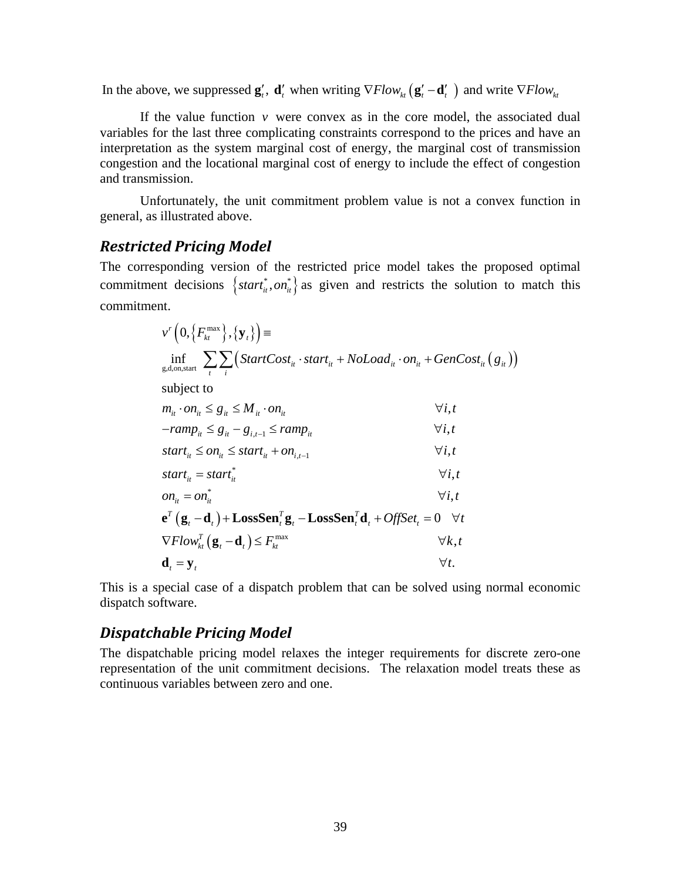In the above, we suppressed  $\mathbf{g}'_t$ ,  $\mathbf{d}'_t$  when writing  $\nabla Flow_{k}$   $(\mathbf{g}'_t - \mathbf{d}'_t)$  and write  $\nabla Flow_{k}$ 

If the value function  $\nu$  were convex as in the core model, the associated dual variables for the last three complicating constraints correspond to the prices and have an interpretation as the system marginal cost of energy, the marginal cost of transmission congestion and the locational marginal cost of energy to include the effect of congestion and transmission.

Unfortunately, the unit commitment problem value is not a convex function in general, as illustrated above.

#### *Restricted Pricing Model*

The corresponding version of the restricted price model takes the proposed optimal commitment decisions  $\{start^*_u, on^*_u\}$  as given and restricts the solution to match this commitment.

$$
v^{r} (0, \{F_{kt}^{\max}\}, \{y_{t}\}) =
$$
\n
$$
\inf_{g,d,on, start} \sum_{i} \sum_{i} (StartCost_{it} \cdot start_{it} + NoLoad_{it} \cdot on_{it} + GenCost_{it} (g_{it}))
$$
\nsubject to\n
$$
m_{it} \cdot on_{it} \leq g_{it} \leq M_{it} \cdot on_{it}
$$
\n
$$
-ramp_{it} \leq g_{it} - g_{i,t-1} \leq ramp_{it}
$$
\n
$$
start_{it} \leq on_{it} \leq start_{it} + on_{i,t-1}
$$
\n
$$
start_{it} = start_{it}^{*}
$$
\n
$$
v_{i,t}
$$
\n
$$
start_{it} = start_{it}^{*}
$$
\n
$$
on_{it} = on_{it}^{*}
$$
\n
$$
v_{i,t}
$$
\n
$$
e^{r} (g_{t} - d_{t}) + LossSen_{t}^{r} g_{t} - LossSen_{t}^{r} d_{t} + OffSet_{t} = 0 \quad \forall t
$$
\n
$$
\nabla Flow_{kt}^{r} (g_{t} - d_{t}) \leq F_{kt}^{max}
$$
\n
$$
\forall t, t
$$
\n
$$
d_{t} = y_{t}
$$
\n
$$
\forall t.
$$

This is a special case of a dispatch problem that can be solved using normal economic dispatch software.

### *Dispatchable Pricing Model*

The dispatchable pricing model relaxes the integer requirements for discrete zero-one representation of the unit commitment decisions. The relaxation model treats these as continuous variables between zero and one.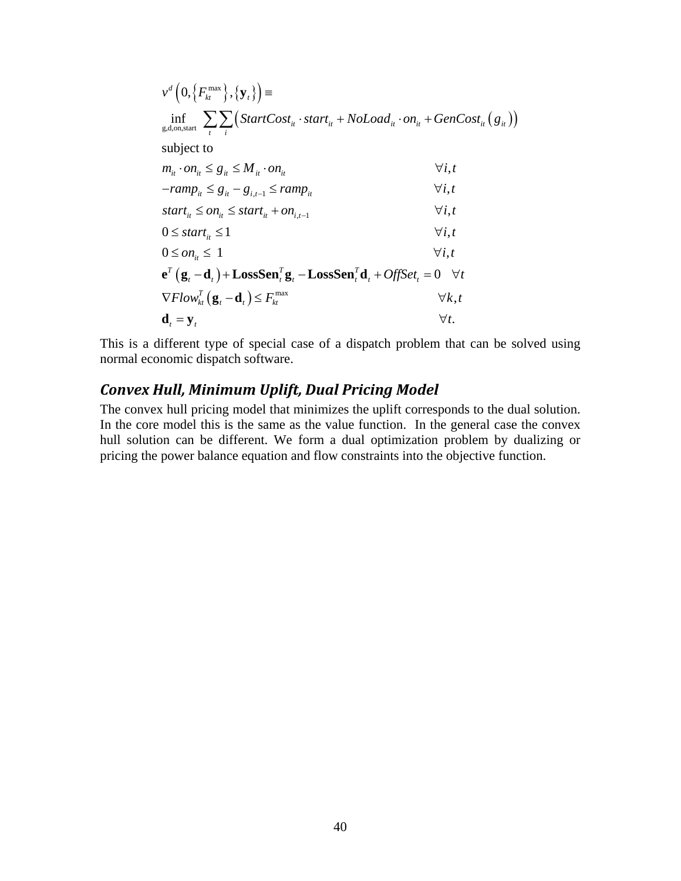$$
v^{d} (0, \{F_{kt}^{\max}\}, \{y_{t}\}) =
$$
\n
$$
\inf_{g,d, on, start} \sum_{i} \sum_{i} (StartCost_{it} \cdot start_{it} + Noload_{it} \cdot on_{it} + GenCost_{it} (g_{it}))
$$
\nsubject to\n
$$
m_{it} \cdot on_{it} \leq g_{it} \leq M_{it} \cdot on_{it}
$$
\n
$$
-ramp_{it} \leq g_{it} - g_{i,t-1} \leq ramp_{it}
$$
\n
$$
-ramp_{it} \leq g_{it} - g_{i,t-1} \leq ramp_{it}
$$
\n
$$
start_{it} \leq on_{it} \leq start_{it} + on_{i,t-1}
$$
\n
$$
0 \leq start_{it} \leq 1
$$
\n
$$
0 \leq on_{it} \leq 1
$$
\n
$$
0 \leq on_{it} \leq 1
$$
\n
$$
\forall i, t
$$
\n
$$
e^{T} (g_{t} - d_{t}) + LossSen_{t}^{T} g_{t} - LossSen_{t}^{T} d_{t} + OffSet_{t} = 0 \quad \forall t
$$
\n
$$
\nabla Flow_{kt}^{T} (g_{t} - d_{t}) \leq F_{kt}^{\max}
$$
\n
$$
\forall k, t
$$
\n
$$
d_{t} = y_{t}
$$
\n
$$
\forall t.
$$

This is a different type of special case of a dispatch problem that can be solved using normal economic dispatch software.

## *Convex Hull, Minimum Uplift, Dual Pricing Model*

The convex hull pricing model that minimizes the uplift corresponds to the dual solution. In the core model this is the same as the value function. In the general case the convex hull solution can be different. We form a dual optimization problem by dualizing or pricing the power balance equation and flow constraints into the objective function.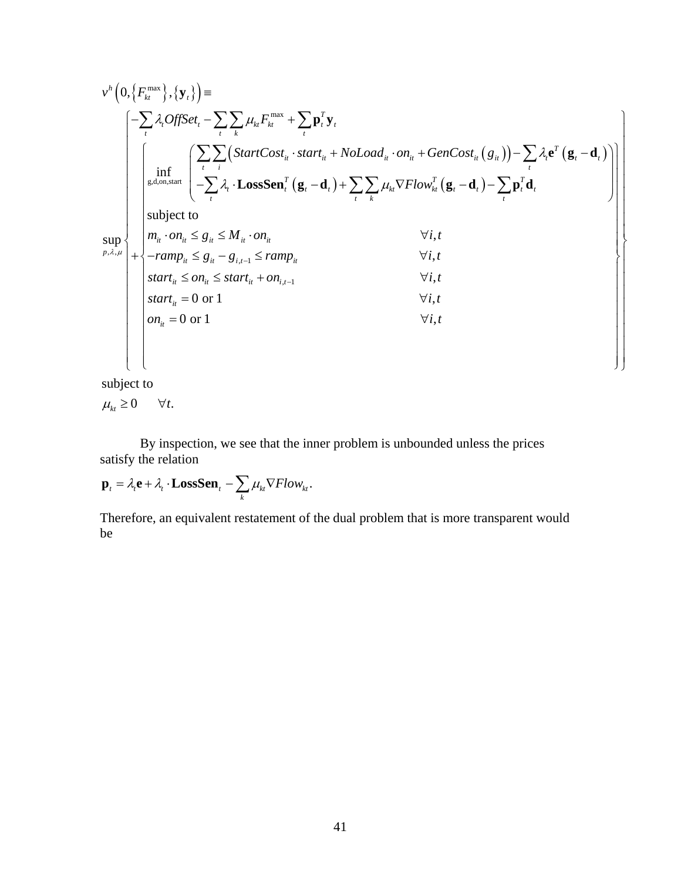( ) { } { } ( ) ( ) ( ) () () max max g,d,on,start , , 0, , inf subjec sup *h kt t T t t kt kt t t t tk t T it it it it it it t t t t i t T TT t t t t kt kt t t t t t tk t p v F OffSet F StartCost start NoLoad on GenCost g Flow* λ μ λ μ λ λ μ ≡ −− + ⎛ ⎞ ⋅ + ⋅+ − − ⎜ ⎟ − ⋅ −+ ∇ −− ⎝ ⎠ + ∑ ∑∑ ∑ ∑∑ ∑ ∑ ∑∑ ∑ **y p y eg d LossSen g d g d p d** , 1 , 1 t to , , , *it it it it it it it i t it it it it i t m on g M on i t ramp g g ramp i t start on start on i t s* − − ⋅ ≤≤ ⋅ ∀ − ≤− ≤ ∀ ≤≤ + ∀ 0 or 1 , 0 or 1 , *it it tart i t on i t* ⎧ ⎪ <sup>⎪</sup> <sup>⎧</sup> <sup>⎫</sup> <sup>⎪</sup> <sup>⎪</sup> <sup>⎪</sup> <sup>⎪</sup> <sup>⎪</sup> <sup>⎪</sup> <sup>⎪</sup> <sup>⎪</sup> <sup>⎪</sup> <sup>⎪</sup> <sup>⎪</sup> <sup>⎪</sup> <sup>⎪</sup> <sup>⎪</sup> <sup>⎪</sup> <sup>⎪</sup> <sup>⎨</sup> <sup>⎪</sup> <sup>⎪</sup> <sup>⎪</sup> <sup>⎪</sup> <sup>⎨</sup> <sup>⎬</sup> <sup>⎪</sup> <sup>⎪</sup> <sup>⎪</sup> <sup>⎪</sup> <sup>⎪</sup> = ∀ <sup>⎪</sup> <sup>⎪</sup> <sup>⎪</sup> <sup>⎪</sup> = ∀ <sup>⎪</sup> <sup>⎪</sup> <sup>⎪</sup> <sup>⎪</sup> <sup>⎪</sup> <sup>⎪</sup> <sup>⎪</sup> <sup>⎩</sup> <sup>⎭</sup> ⎫ ⎪ ⎪ ⎪ ⎪ ⎪ <sup>⎪</sup> <sup>⎪</sup> <sup>⎪</sup> <sup>⎪</sup> <sup>⎪</sup> <sup>⎪</sup> <sup>⎪</sup> <sup>⎬</sup> <sup>⎪</sup> <sup>⎪</sup> <sup>⎪</sup> <sup>⎪</sup> <sup>⎪</sup> <sup>⎪</sup> <sup>⎪</sup> <sup>⎪</sup> <sup>⎪</sup> <sup>⎪</sup> <sup>⎪</sup> <sup>⎪</sup> <sup>⎪</sup> <sup>⎪</sup> <sup>⎪</sup> <sup>⎪</sup> <sup>⎪</sup> <sup>⎪</sup> <sup>⎩</sup> <sup>⎭</sup>

subject to

$$
\mu_{kt} \geq 0 \qquad \forall t.
$$

 By inspection, we see that the inner problem is unbounded unless the prices satisfy the relation

$$
\mathbf{p}_{t} = \lambda_{t} \mathbf{e} + \lambda_{t} \cdot \mathbf{LossSen}_{t} - \sum_{k} \mu_{kt} \nabla Flow_{kt}.
$$

Therefore, an equivalent restatement of the dual problem that is more transparent would be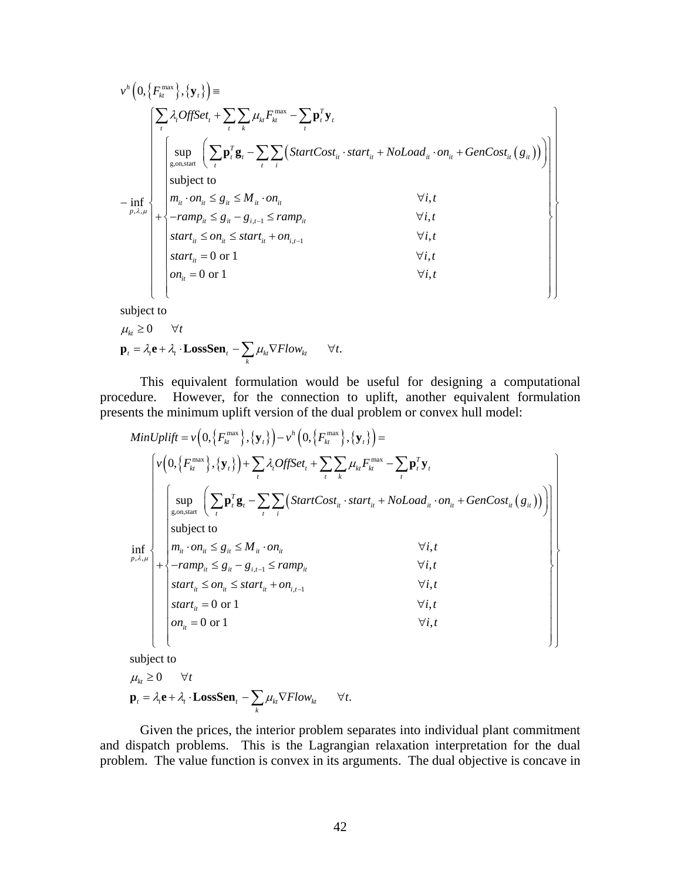$$
v^h\left(0,\left\{F_{kt}^{\max}\right\},\left\{\mathbf{y}_t\right\}\right)=\n\begin{bmatrix}\n\sum_{i}\lambda_i\text{OffSet}_t + \sum_{i}\sum_{k}\mu_{kt}F_{kt}^{\max} - \sum_{i}\mathbf{p}_i^T\mathbf{y}_t \\
\begin{bmatrix}\n\sup_{g,\text{on,start}}\left(\sum_{i} \mathbf{p}_i^T\mathbf{g}_t - \sum_{i}\sum_{i}\left(StartCost_{it} \cdot start_{it} + NoLoad_{it} \cdot on_{it} + GenCost_{it}\left(g_{it}\right)\right)\right) \\
\text{subject to} \\
\begin{bmatrix}\n\min_{p,\lambda,\mu}\n\end{bmatrix} + \n\begin{bmatrix}\n\sup_{m_{it}} \cdot on_{it} \leq g_{it} \leq M_{it} \cdot on_{it} & \forall i, t \\
m_{it} \cdot on_{it} \leq g_{it} - g_{i,t-1} \leq ramp_{it} & \forall i, t \\
start_{it} \leq on_{it} \leq start_{it} + on_{i,t-1} & \forall i, t \\
start_{it} = 0 \text{ or } 1 & \forall i, t \\
\text{on}_{it} = 0 \text{ or } 1 & \forall i, t\n\end{bmatrix}\n\end{bmatrix}
$$

subject to

$$
\mu_{kt} \ge 0 \quad \forall t
$$
  

$$
\mathbf{p}_t = \lambda_t \mathbf{e} + \lambda_t \cdot \mathbf{LossSen}_t - \sum_k \mu_{kt} \nabla Flow_{kt} \quad \forall t.
$$

 This equivalent formulation would be useful for designing a computational procedure. However, for the connection to uplift, another equivalent formulation presents the minimum uplift version of the dual problem or convex hull model:

$$
MinUplift = v\left(0, \left\{F_{kt}^{\max}\right\}, \left\{\mathbf{y}_{t}\right\}\right) - v^{h}\left(0, \left\{F_{kt}^{\max}\right\}, \left\{\mathbf{y}_{t}\right\}\right) = \left\{v\left(0, \left\{F_{kt}^{\max}\right\}, \left\{\mathbf{y}_{t}\right\}\right) + \sum_{i} \lambda_{i} \text{OffSet}_{t} + \sum_{i} \sum_{k} \mu_{ki} F_{kt}^{\max} - \sum_{i} \mathbf{p}_{i}^{T} \mathbf{y}_{t} \right\}
$$
\n
$$
\left\{\begin{array}{l}\n\text{sup} \left(\sum_{t} \mathbf{p}_{i}^{T} \mathbf{g}_{t} - \sum_{t} \sum_{i} \left( \text{StartCost}_{it} \cdot \text{start}_{it} + \text{NoLoad}_{it} \cdot \text{on}_{it} + \text{GenCost}_{it} \left(g_{it}\right)\right)\right) \\
\text{subject to} \\
\text{in,} \\
\left\{\begin{array}{l}\n\text{subject to} \\
m_{it} \cdot \text{on}_{it} \le g_{it} \le M_{it} \cdot \text{on}_{it} \\
m_{it} \cdot \text{on}_{it} \le g_{it} \le M_{it} \cdot \text{on}_{it} \\
\text{start}_{it} \le \text{on}_{it} \le \text{start}_{it} + \text{on}_{i,t-1} \\
\text{start}_{it} = 0 \text{ or } 1\n\end{array}\right.\n\end{array}\n\right\}
$$
\n
$$
\forall i, t
$$
\n
$$
\left\{\begin{array}{l}\n\text{start}_{it} = 0 \text{ or } 1 \\
\text{start}_{it} = 0 \text{ or } 1\n\end{array}\right\}
$$

subjec t to

$$
\mu_{kt} \ge 0 \quad \forall t
$$
  

$$
\mathbf{p}_t = \lambda_t \mathbf{e} + \lambda_t \cdot \mathbf{LossSen}_t - \sum_k \mu_{kt} \nabla Flow_{kt} \qquad \forall t.
$$

Given the prices, the interior problem separates into individual plant commitment and dispatch problems. This is the Lagrangian relaxation interpretation for the dual problem. The value function is convex in its arguments. The dual objective is concave in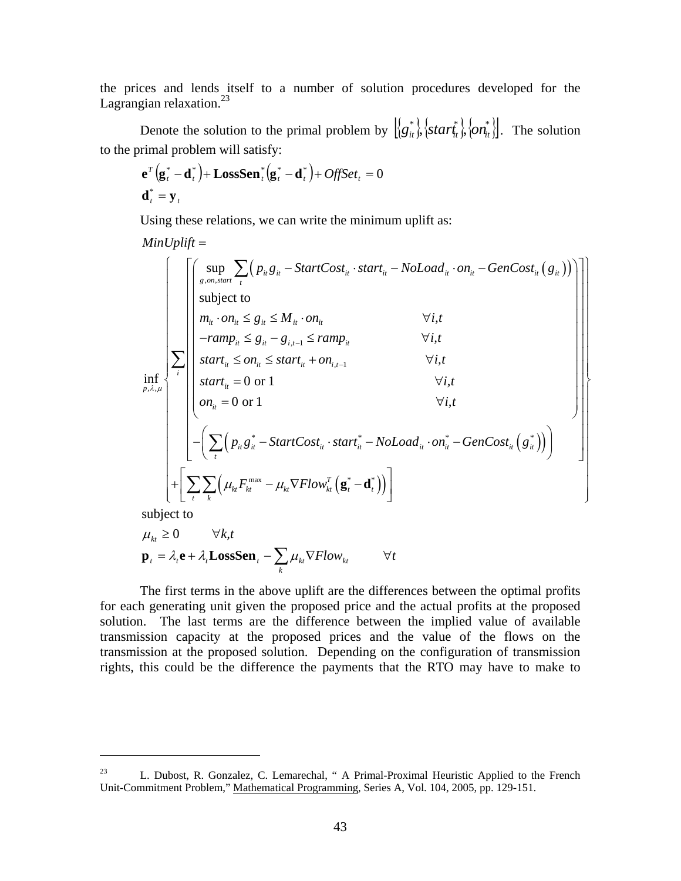the prices and lends itself to a number of solution procedures developed for the Lagrangian relaxation. $^{23}$ 

Denote the solution to the primal problem by  $\left[\left\{g_{it}^*\right\}, \left\{star\}_{i}^*\right\}, \left\{on_{it}^*\right\}\right]$ . The solution to the primal problem will satisfy:

$$
\mathbf{e}^T \left( \mathbf{g}_t^* - \mathbf{d}_t^* \right) + \mathbf{LossSen}_t^* \left( \mathbf{g}_t^* - \mathbf{d}_t^* \right) + \text{OffSet}_t = 0
$$
  

$$
\mathbf{d}_t^* = \mathbf{y}_t
$$

Using these relations, we can write the minimum uplift as:

$$
MinUplift = \n\begin{bmatrix}\n\begin{bmatrix}\n\text{sup} & \sum_{g, on, start} \sum_{t} \left( p_{u} g_{u} - StartCost_{u} \cdot start_{u} - Nolload_{u} \cdot on_{u} - GenCost_{u} (g_{u}) \right) \\
\text{subject to} \\
m_{u} \cdot on_{u} \leq g_{u} \leq M_{u} \cdot on_{u} & \forall i, t \\
\text{-}ramp_{u} \leq g_{u} - g_{i, t-1} \leq ramp_{u} \\
\text{start}_{u} \leq on_{u} \leq start_{u} + on_{i, t-1} & \forall i, t \\
\text{start}_{u} = 0 \text{ or } 1 & \forall i, t \\
on_{u} = 0 \text{ or } 1 & \forall i, t \\
\end{bmatrix} \\
-\begin{bmatrix}\n\sum_{t} \left( p_{u} g_{u}^{*} - StartCost_{u} \cdot start_{u}^{*} - Nolload_{u} \cdot on_{u}^{*} - GenCost_{u} (g_{u}^{*}) \right)\n\end{bmatrix} \\
+\begin{bmatrix}\n\sum_{t} \sum_{k} \left( \mu_{k} F_{k}^{\max} - \mu_{k} \nabla Flow_{k}^{T} (g_{t}^{*} - d_{t}^{*}) \right)\n\end{bmatrix}
$$

subject to

 $\overline{a}$ 

$$
\mu_{kt} \ge 0 \qquad \forall k, t
$$
  

$$
\mathbf{p}_t = \lambda_t \mathbf{e} + \lambda_t \mathbf{LossSen}_t - \sum_k \mu_{kt} \nabla Flow_{kt} \qquad \forall t
$$

The first terms in the above uplift are the differences between the optimal profits for each generating unit given the proposed price and the actual profits at the proposed solution. The last terms are the difference between the implied value of available transmission capacity at the proposed prices and the value of the flows on the transmission at the proposed solution. Depending on the configuration of transmission rights, this could be the difference the payments that the RTO may have to make to

<sup>&</sup>lt;sup>23</sup> L. Dubost, R. Gonzalez, C. Lemarechal, " A Primal-Proximal Heuristic Applied to the French Unit-Commitment Problem," Mathematical Programming, Series A, Vol. 104, 2005, pp. 129-151.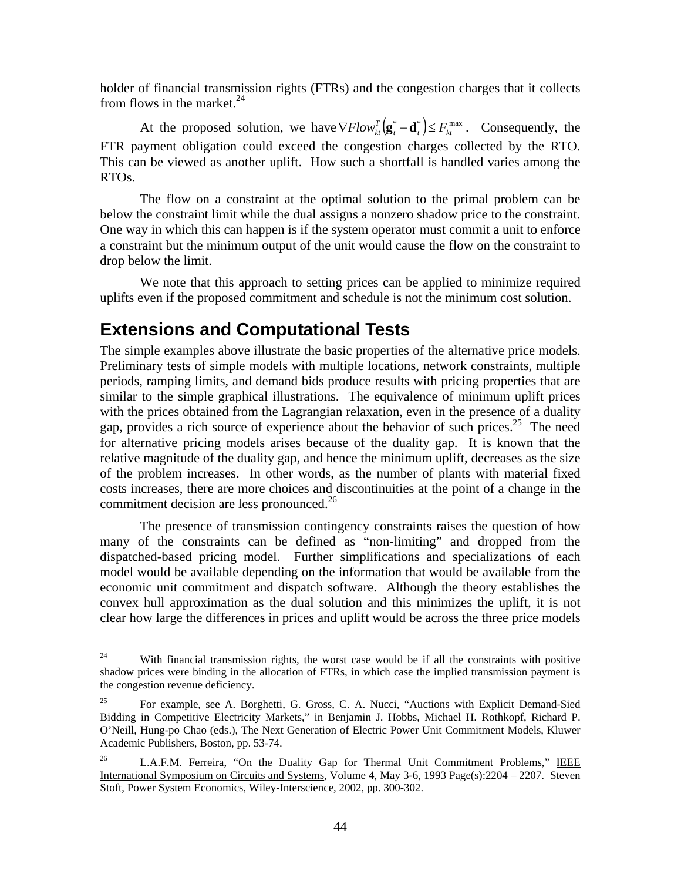holder of financial transmission rights (FTRs) and the congestion charges that it collects from flows in the market. $^{24}$ 

At the proposed solution, we have  $\nabla Flow_{kt}^T(\mathbf{g}_t^* - \mathbf{d}_t^*) \le F_{kt}^{\max}$ . Consequently, the FTR payment obligation could exceed the congestion charges collected by the RTO. This can be viewed as another uplift. How such a shortfall is handled varies among the RTOs.

The flow on a constraint at the optimal solution to the primal problem can be below the constraint limit while the dual assigns a nonzero shadow price to the constraint. One way in which this can happen is if the system operator must commit a unit to enforce a constraint but the minimum output of the unit would cause the flow on the constraint to drop below the limit.

We note that this approach to setting prices can be applied to minimize required uplifts even if the proposed commitment and schedule is not the minimum cost solution.

### **Extensions and Computational Tests**

 $\overline{a}$ 

The simple examples above illustrate the basic properties of the alternative price models. Preliminary tests of simple models with multiple locations, network constraints, multiple periods, ramping limits, and demand bids produce results with pricing properties that are similar to the simple graphical illustrations. The equivalence of minimum uplift prices with the prices obtained from the Lagrangian relaxation, even in the presence of a duality gap, provides a rich source of experience about the behavior of such prices.<sup>25</sup> The need for alternative pricing models arises because of the duality gap. It is known that the relative magnitude of the duality gap, and hence the minimum uplift, decreases as the size of the problem increases. In other words, as the number of plants with material fixed costs increases, there are more choices and discontinuities at the point of a change in the commitment decision are less pronounced. $^{26}$ 

 The presence of transmission contingency constraints raises the question of how many of the constraints can be defined as "non-limiting" and dropped from the dispatched-based pricing model. Further simplifications and specializations of each model would be available depending on the information that would be available from the economic unit commitment and dispatch software. Although the theory establishes the convex hull approximation as the dual solution and this minimizes the uplift, it is not clear how large the differences in prices and uplift would be across the three price models

<sup>&</sup>lt;sup>24</sup> With financial transmission rights, the worst case would be if all the constraints with positive shadow prices were binding in the allocation of FTRs, in which case the implied transmission payment is the congestion revenue deficiency.

<sup>&</sup>lt;sup>25</sup> For example, see A. Borghetti, G. Gross, C. A. Nucci, "Auctions with Explicit Demand-Sied Bidding in Competitive Electricity Markets," in Benjamin J. Hobbs, Michael H. Rothkopf, Richard P. O'Neill, Hung-po Chao (eds.), The Next Generation of Electric Power Unit Commitment Models, Kluwer Academic Publishers, Boston, pp. 53-74.

 $26$  L.A.F.M. Ferreira, "On the Duality Gap for Thermal Unit Commitment Problems," IEEE International Symposium on Circuits and Systems, Volume 4, May 3-6, 1993 Page(s):2204 – 2207. Steven Stoft, Power System Economics, Wiley-Interscience, 2002, pp. 300-302.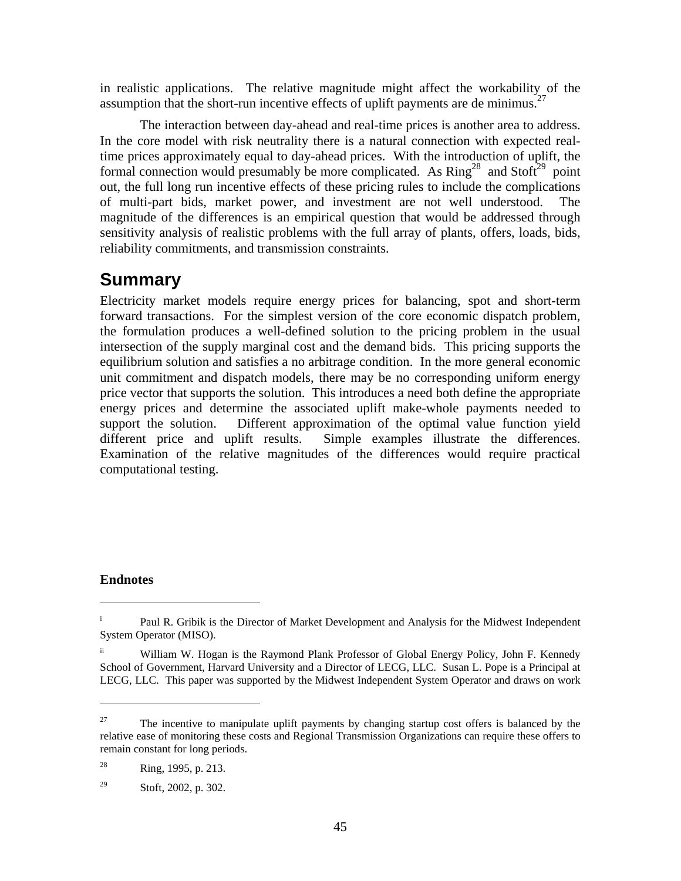in realistic applications. The relative magnitude might affect the workability of the assumption that the short-run incentive effects of uplift payments are de minimus.<sup>27</sup>

 The interaction between day-ahead and real-time prices is another area to address. In the core model with risk neutrality there is a natural connection with expected realtime prices approximately equal to day-ahead prices. With the introduction of uplift, the formal connection would presumably be more complicated. As  $Ring^{28}$  and  $Stoft^{29}$  point out, the full long run incentive effects of these pricing rules to include the complications of multi-part bids, market power, and investment are not well understood. magnitude of the differences is an empirical question that would be addressed through sensitivity analysis of realistic problems with the full array of plants, offers, loads, bids, reliability commitments, and transmission constraints.

# **Summary**

Electricity market models require energy prices for balancing, spot and short-term forward transactions. For the simplest version of the core economic dispatch problem, the formulation produces a well-defined solution to the pricing problem in the usual intersection of the supply marginal cost and the demand bids. This pricing supports the equilibrium solution and satisfies a no arbitrage condition. In the more general economic unit commitment and dispatch models, there may be no corresponding uniform energy price vector that supports the solution. This introduces a need both define the appropriate energy prices and determine the associated uplift make-whole payments needed to support the solution. Different approximation of the optimal value function yield different price and uplift results. Simple examples illustrate the differences. Examination of the relative magnitudes of the differences would require practical computational testing.

#### **Endnotes**

 $\overline{a}$ 

 $\overline{a}$ 

i Paul R. Gribik is the Director of Market Development and Analysis for the Midwest Independent System Operator (MISO).

<sup>&</sup>lt;sup>ii</sup> William W. Hogan is the Raymond Plank Professor of Global Energy Policy, John F. Kennedy School of Government, Harvard University and a Director of LECG, LLC. Susan L. Pope is a Principal at LECG, LLC. This paper was supported by the Midwest Independent System Operator and draws on work

<sup>&</sup>lt;sup>27</sup> The incentive to manipulate uplift payments by changing startup cost offers is balanced by the relative ease of monitoring these costs and Regional Transmission Organizations can require these offers to remain constant for long periods.

<sup>28</sup> Ring, 1995, p. 213.

<sup>29</sup> Stoft, 2002, p. 302.